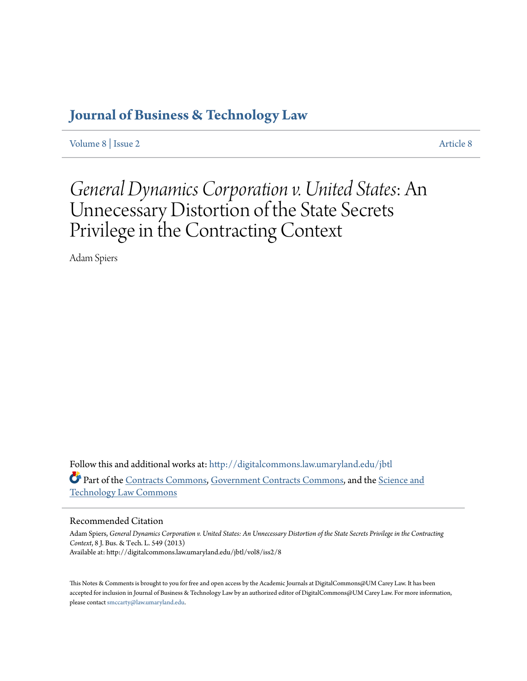# **[Journal of Business & Technology Law](http://digitalcommons.law.umaryland.edu/jbtl?utm_source=digitalcommons.law.umaryland.edu%2Fjbtl%2Fvol8%2Fiss2%2F8&utm_medium=PDF&utm_campaign=PDFCoverPages)**

[Volume 8](http://digitalcommons.law.umaryland.edu/jbtl/vol8?utm_source=digitalcommons.law.umaryland.edu%2Fjbtl%2Fvol8%2Fiss2%2F8&utm_medium=PDF&utm_campaign=PDFCoverPages) | [Issue 2](http://digitalcommons.law.umaryland.edu/jbtl/vol8/iss2?utm_source=digitalcommons.law.umaryland.edu%2Fjbtl%2Fvol8%2Fiss2%2F8&utm_medium=PDF&utm_campaign=PDFCoverPages) [Article 8](http://digitalcommons.law.umaryland.edu/jbtl/vol8/iss2/8?utm_source=digitalcommons.law.umaryland.edu%2Fjbtl%2Fvol8%2Fiss2%2F8&utm_medium=PDF&utm_campaign=PDFCoverPages)

# *General Dynamics Corporation v. United States*: An Unnecessary Distortion of the State Secrets Privilege in the Contracting Context

Adam Spiers

Follow this and additional works at: [http://digitalcommons.law.umaryland.edu/jbtl](http://digitalcommons.law.umaryland.edu/jbtl?utm_source=digitalcommons.law.umaryland.edu%2Fjbtl%2Fvol8%2Fiss2%2F8&utm_medium=PDF&utm_campaign=PDFCoverPages) Part of the [Contracts Commons](http://network.bepress.com/hgg/discipline/591?utm_source=digitalcommons.law.umaryland.edu%2Fjbtl%2Fvol8%2Fiss2%2F8&utm_medium=PDF&utm_campaign=PDFCoverPages), [Government Contracts Commons](http://network.bepress.com/hgg/discipline/845?utm_source=digitalcommons.law.umaryland.edu%2Fjbtl%2Fvol8%2Fiss2%2F8&utm_medium=PDF&utm_campaign=PDFCoverPages), and the [Science and](http://network.bepress.com/hgg/discipline/875?utm_source=digitalcommons.law.umaryland.edu%2Fjbtl%2Fvol8%2Fiss2%2F8&utm_medium=PDF&utm_campaign=PDFCoverPages) [Technology Law Commons](http://network.bepress.com/hgg/discipline/875?utm_source=digitalcommons.law.umaryland.edu%2Fjbtl%2Fvol8%2Fiss2%2F8&utm_medium=PDF&utm_campaign=PDFCoverPages)

# Recommended Citation

Adam Spiers, *General Dynamics Corporation v. United States: An Unnecessary Distortion of the State Secrets Privilege in the Contracting Context*, 8 J. Bus. & Tech. L. 549 (2013) Available at: http://digitalcommons.law.umaryland.edu/jbtl/vol8/iss2/8

This Notes & Comments is brought to you for free and open access by the Academic Journals at DigitalCommons@UM Carey Law. It has been accepted for inclusion in Journal of Business & Technology Law by an authorized editor of DigitalCommons@UM Carey Law. For more information, please contact [smccarty@law.umaryland.edu](mailto:smccarty@law.umaryland.edu).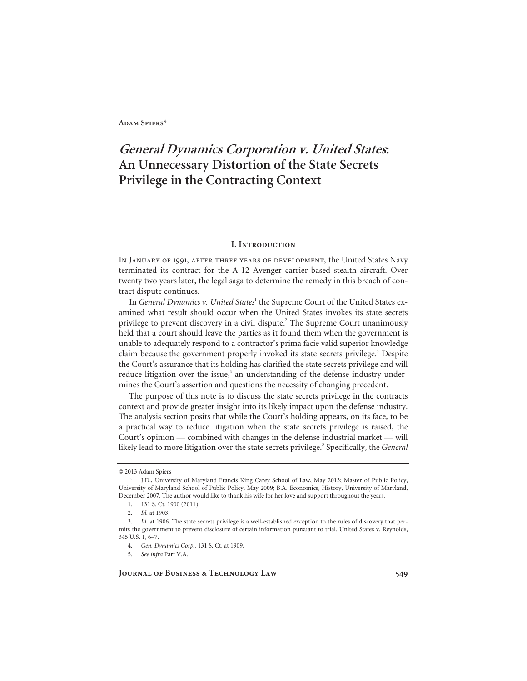# **General Dynamics Corporation v. United States: An Unnecessary Distortion of the State Secrets Privilege in the Contracting Context**

#### **I. Introduction**

In January of 1991, after three years of development, the United States Navy terminated its contract for the A-12 Avenger carrier-based stealth aircraft. Over twenty two years later, the legal saga to determine the remedy in this breach of contract dispute continues.

In *General Dynamics v. United States*<sup>1</sup> the Supreme Court of the United States examined what result should occur when the United States invokes its state secrets privilege to prevent discovery in a civil dispute.<sup>2</sup> The Supreme Court unanimously held that a court should leave the parties as it found them when the government is unable to adequately respond to a contractor's prima facie valid superior knowledge claim because the government properly invoked its state secrets privilege.<sup>3</sup> Despite the Court's assurance that its holding has clarified the state secrets privilege and will reduce litigation over the issue,<sup>4</sup> an understanding of the defense industry undermines the Court's assertion and questions the necessity of changing precedent.

The purpose of this note is to discuss the state secrets privilege in the contracts context and provide greater insight into its likely impact upon the defense industry. The analysis section posits that while the Court's holding appears, on its face, to be a practical way to reduce litigation when the state secrets privilege is raised, the Court's opinion — combined with changes in the defense industrial market — will likely lead to more litigation over the state secrets privilege.<sup>5</sup> Specifically, the *General* 

<sup>© 2013</sup> Adam Spiers

 <sup>\*</sup> J.D., University of Maryland Francis King Carey School of Law, May 2013; Master of Public Policy, University of Maryland School of Public Policy, May 2009; B.A. Economics, History, University of Maryland, December 2007. The author would like to thank his wife for her love and support throughout the years.

 <sup>1. 131</sup> S. Ct. 1900 (2011).

<sup>2.</sup> *Id.* at 1903.

<sup>3.</sup> *Id.* at 1906. The state secrets privilege is a well-established exception to the rules of discovery that permits the government to prevent disclosure of certain information pursuant to trial. United States v. Reynolds, 345 U.S. 1, 6–7.

<sup>4.</sup> *Gen. Dynamics Corp.*, 131 S. Ct. at 1909.

<sup>5.</sup> *See infra* Part V.A.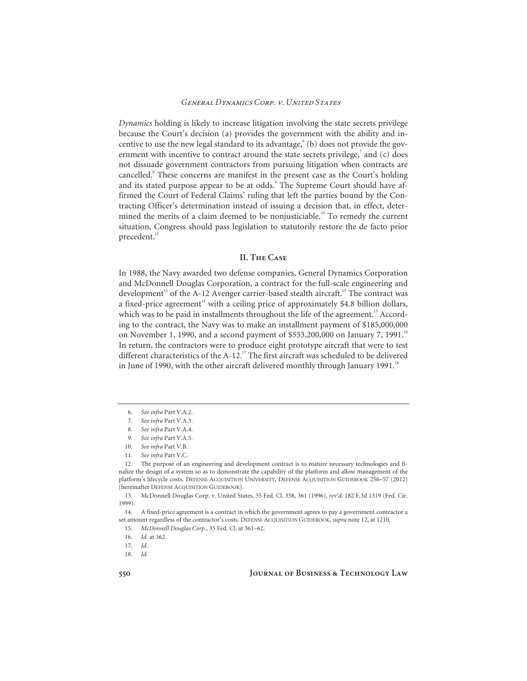*Dynamics* holding is likely to increase litigation involving the state secrets privilege because the Court's decision (a) provides the government with the ability and incentive to use the new legal standard to its advantage,<sup>6</sup> (b) does not provide the government with incentive to contract around the state secrets privilege, $7$  and (c) does not dissuade government contractors from pursuing litigation when contracts are cancelled.<sup>8</sup> These concerns are manifest in the present case as the Court's holding and its stated purpose appear to be at odds.<sup>9</sup> The Supreme Court should have affirmed the Court of Federal Claims' ruling that left the parties bound by the Contracting Officer's determination instead of issuing a decision that, in effect, determined the merits of a claim deemed to be nonjusticiable.<sup>10</sup> To remedy the current situation, Congress should pass legislation to statutorily restore the de facto prior precedent.<sup>11</sup>

# **II. The Case**

In 1988, the Navy awarded two defense companies, General Dynamics Corporation and McDonnell Douglas Corporation, a contract for the full-scale engineering and development<sup>12</sup> of the A-12 Avenger carrier-based stealth aircraft.<sup>13</sup> The contract was a fixed-price agreement<sup> $14$ </sup> with a ceiling price of approximately \$4.8 billion dollars, which was to be paid in installments throughout the life of the agreement.<sup>15</sup> According to the contract, the Navy was to make an installment payment of \$185,000,000 on November 1, 1990, and a second payment of \$553,200,000 on January 7, 1991.<sup>16</sup> In return, the contractors were to produce eight prototype aircraft that were to test different characteristics of the A-12.<sup>17</sup> The first aircraft was scheduled to be delivered in June of 1990, with the other aircraft delivered monthly through January 1991.<sup>18</sup>

 13. McDonnell Douglas Corp. v. United States, 35 Fed. Cl. 358, 361 (1996), *rev'd,* 182 F.3d 1319 (Fed. Cir. 1999).

 14. A fixed-price agreement is a contract in which the government agrees to pay a government contractor a set amount regardless of the contractor's costs. DEFENSE ACQUISITION GUIDEBOOK, *supra* note 12, at 1210.

15. *McDonnell Douglas Corp.*, 35 Fed. Cl. at 361–62.

<sup>6.</sup> *See infra* Part V.A.2.

<sup>7.</sup> *See infra* Part V.A.3.

<sup>8.</sup> *See infra* Part V.A.4.

<sup>9.</sup> *See infra* Part V.A.5.

<sup>10.</sup> *See infra* Part V.B.

<sup>11.</sup> *See infra* Part V.C.

 <sup>12.</sup> The purpose of an engineering and development contract is to mature necessary technologies and finalize the design of a system so as to demonstrate the capability of the platform and allow management of the platform's lifecycle costs. DEFENSE ACQUISITION UNIVERSITY, DEFENSE ACQUISITION GUIDEBOOK 256–57 (2012) [hereinafter DEFENSE ACQUISITION GUIDEBOOK].

<sup>16.</sup> *Id.* at 362.

<sup>17.</sup> *Id.*

<sup>18.</sup> *Id.*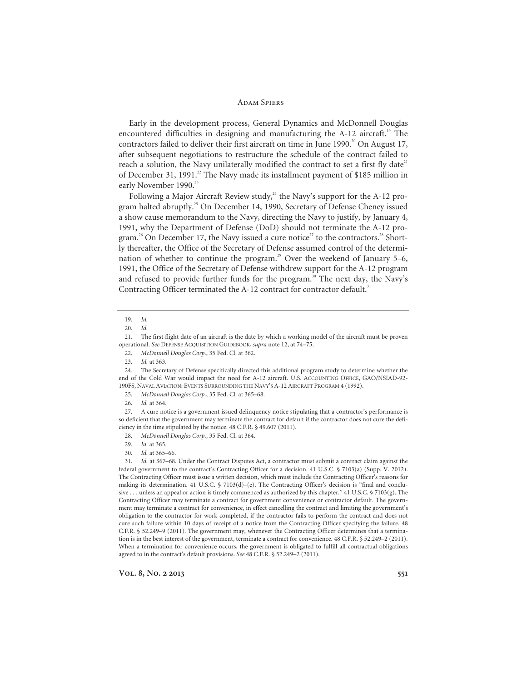#### **ADAM SPIERS**

Early in the development process, General Dynamics and McDonnell Douglas encountered difficulties in designing and manufacturing the A-12 aircraft.<sup>19</sup> The contractors failed to deliver their first aircraft on time in June 1990.<sup>20</sup> On August 17, after subsequent negotiations to restructure the schedule of the contract failed to reach a solution, the Navy unilaterally modified the contract to set a first fly date<sup>21</sup> of December 31, 1991.<sup>22</sup> The Navy made its installment payment of \$185 million in early November 1990.<sup>23</sup>

Following a Major Aircraft Review study, $^{24}$  the Navy's support for the A-12 program halted abruptly.<sup>25</sup> On December 14, 1990, Secretary of Defense Cheney issued a show cause memorandum to the Navy, directing the Navy to justify, by January 4, 1991, why the Department of Defense (DoD) should not terminate the A-12 program.<sup>26</sup> On December 17, the Navy issued a cure notice<sup>27</sup> to the contractors.<sup>28</sup> Shortly thereafter, the Office of the Secretary of Defense assumed control of the determination of whether to continue the program.<sup>29</sup> Over the weekend of January 5–6, 1991, the Office of the Secretary of Defense withdrew support for the A-12 program and refused to provide further funds for the program.<sup>30</sup> The next day, the Navy's Contracting Officer terminated the A-12 contract for contractor default.<sup>31</sup>

<sup>19.</sup> *Id.*

<sup>20.</sup> *Id.*

 <sup>21.</sup> The first flight date of an aircraft is the date by which a working model of the aircraft must be proven operational. *See* DEFENSE ACQUISITION GUIDEBOOK, *supra* note 12, at 74–75.

<sup>22.</sup> *McDonnell Douglas Corp.*, 35 Fed. Cl. at 362.

<sup>23.</sup> *Id.* at 363.

 <sup>24.</sup> The Secretary of Defense specifically directed this additional program study to determine whether the end of the Cold War would impact the need for A-12 aircraft. U.S. ACCOUNTING OFFICE, GAO/NSIAD-92- 190FS, NAVAL AVIATION: EVENTS SURROUNDING THE NAVY'S A-12 AIRCRAFT PROGRAM 4 (1992).

<sup>25.</sup> *McDonnell Douglas Corp.*, 35 Fed. Cl. at 365–68.

<sup>26.</sup> *Id.* at 364.

 <sup>27.</sup> A cure notice is a government issued delinquency notice stipulating that a contractor's performance is so deficient that the government may terminate the contract for default if the contractor does not cure the deficiency in the time stipulated by the notice. 48 C.F.R. § 49.607 (2011).

<sup>28.</sup> *McDonnell Douglas Corp.*, 35 Fed. Cl. at 364.

<sup>29.</sup> *Id.* at 365.

<sup>30.</sup> *Id.* at 365–66.

<sup>31.</sup> *Id.* at 367–68. Under the Contract Disputes Act, a contractor must submit a contract claim against the federal government to the contract's Contracting Officer for a decision. 41 U.S.C. § 7103(a) (Supp. V. 2012). The Contracting Officer must issue a written decision, which must include the Contracting Officer's reasons for making its determination. 41 U.S.C. § 7103(d)–(e). The Contracting Officer's decision is "final and conclusive . . . unless an appeal or action is timely commenced as authorized by this chapter." 41 U.S.C. § 7103(g). The Contracting Officer may terminate a contract for government convenience or contractor default. The government may terminate a contract for convenience, in effect cancelling the contract and limiting the government's obligation to the contractor for work completed, if the contractor fails to perform the contract and does not cure such failure within 10 days of receipt of a notice from the Contracting Officer specifying the failure. 48 C.F.R. § 52.249–9 (2011). The government may, whenever the Contracting Officer determines that a termination is in the best interest of the government, terminate a contract for convenience. 48 C.F.R. § 52.249-2 (2011). When a termination for convenience occurs, the government is obligated to fulfill all contractual obligations agreed to in the contract's default provisions. *See* 48 C.F.R. § 52.249–2 (2011).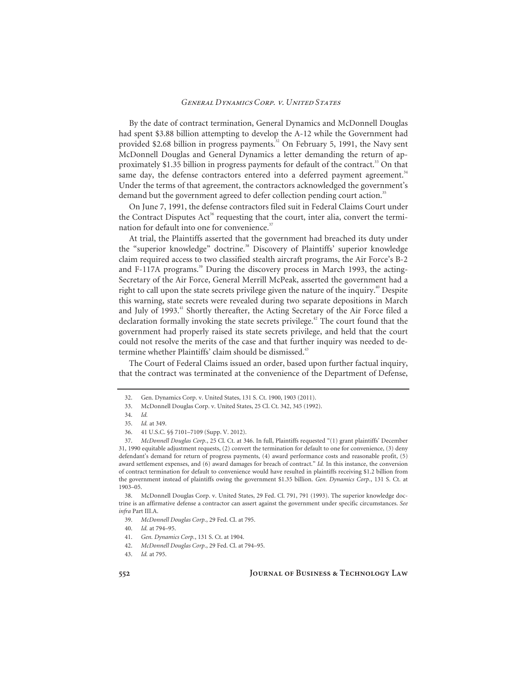By the date of contract termination, General Dynamics and McDonnell Douglas had spent \$3.88 billion attempting to develop the A-12 while the Government had provided \$2.68 billion in progress payments.<sup>32</sup> On February 5, 1991, the Navy sent McDonnell Douglas and General Dynamics a letter demanding the return of approximately \$1.35 billion in progress payments for default of the contract.<sup>33</sup> On that same day, the defense contractors entered into a deferred payment agreement.<sup>34</sup> Under the terms of that agreement, the contractors acknowledged the government's demand but the government agreed to defer collection pending court action.<sup>35</sup>

On June 7, 1991, the defense contractors filed suit in Federal Claims Court under the Contract Disputes Act<sup>36</sup> requesting that the court, inter alia, convert the termination for default into one for convenience.<sup>37</sup>

At trial, the Plaintiffs asserted that the government had breached its duty under the "superior knowledge" doctrine.<sup>38</sup> Discovery of Plaintiffs' superior knowledge claim required access to two classified stealth aircraft programs, the Air Force's B-2 and F-117A programs.<sup>39</sup> During the discovery process in March 1993, the acting-Secretary of the Air Force, General Merrill McPeak, asserted the government had a right to call upon the state secrets privilege given the nature of the inquiry.<sup>40</sup> Despite this warning, state secrets were revealed during two separate depositions in March and July of 1993. $^{41}$  Shortly thereafter, the Acting Secretary of the Air Force filed a declaration formally invoking the state secrets privilege.<sup>42</sup> The court found that the government had properly raised its state secrets privilege, and held that the court could not resolve the merits of the case and that further inquiry was needed to determine whether Plaintiffs' claim should be dismissed.<sup>43</sup>

The Court of Federal Claims issued an order, based upon further factual inquiry, that the contract was terminated at the convenience of the Department of Defense,

 <sup>32.</sup> Gen. Dynamics Corp. v. United States, 131 S. Ct. 1900, 1903 (2011).

 <sup>33.</sup> McDonnell Douglas Corp. v. United States, 25 Cl. Ct. 342, 345 (1992).

<sup>34.</sup> *Id.*

<sup>35.</sup> *Id.* at 349.

 <sup>36. 41</sup> U.S.C. §§ 7101–7109 (Supp. V. 2012).

<sup>37.</sup> *McDonnell Douglas Corp.*, 25 Cl. Ct. at 346. In full, Plaintiffs requested "(1) grant plaintiffs' December 31, 1990 equitable adjustment requests, (2) convert the termination for default to one for convenience, (3) deny defendant's demand for return of progress payments, (4) award performance costs and reasonable profit, (5) award settlement expenses, and (6) award damages for breach of contract." *Id.* In this instance, the conversion of contract termination for default to convenience would have resulted in plaintiffs receiving \$1.2 billion from the government instead of plaintiffs owing the government \$1.35 billion. *Gen. Dynamics Corp.*, 131 S. Ct. at 1903–05.

 <sup>38.</sup> McDonnell Douglas Corp. v. United States, 29 Fed. Cl. 791, 791 (1993). The superior knowledge doctrine is an affirmative defense a contractor can assert against the government under specific circumstances. *See infra* Part III.A.

<sup>39.</sup> *McDonnell Douglas Corp.*, 29 Fed. Cl. at 795.

<sup>40.</sup> *Id.* at 794–95.

<sup>41.</sup> *Gen. Dynamics Corp.*, 131 S. Ct. at 1904.

<sup>42.</sup> *McDonnell Douglas Corp.*, 29 Fed. Cl. at 794–95.

<sup>43.</sup> *Id.* at 795.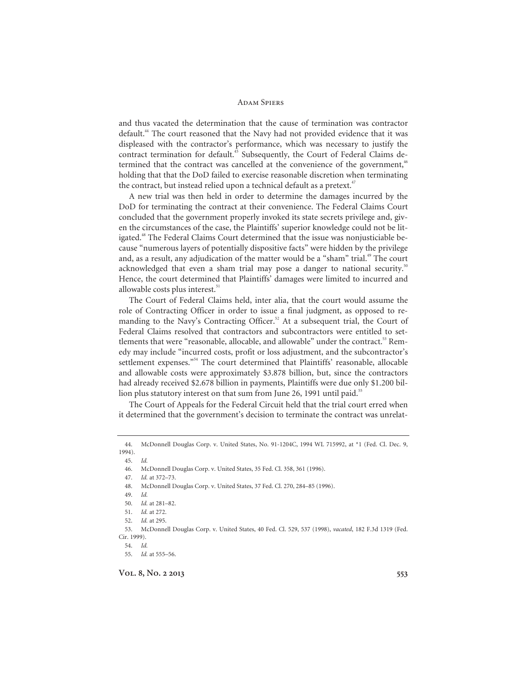and thus vacated the determination that the cause of termination was contractor default.44 The court reasoned that the Navy had not provided evidence that it was displeased with the contractor's performance, which was necessary to justify the contract termination for default.<sup>45</sup> Subsequently, the Court of Federal Claims determined that the contract was cancelled at the convenience of the government,<sup>46</sup> holding that that the DoD failed to exercise reasonable discretion when terminating the contract, but instead relied upon a technical default as a pretext.<sup>4</sup>

A new trial was then held in order to determine the damages incurred by the DoD for terminating the contract at their convenience. The Federal Claims Court concluded that the government properly invoked its state secrets privilege and, given the circumstances of the case, the Plaintiffs' superior knowledge could not be litigated.<sup>48</sup> The Federal Claims Court determined that the issue was nonjusticiable because "numerous layers of potentially dispositive facts" were hidden by the privilege and, as a result, any adjudication of the matter would be a "sham" trial.<sup>49</sup> The court acknowledged that even a sham trial may pose a danger to national security.<sup>50</sup> Hence, the court determined that Plaintiffs' damages were limited to incurred and allowable costs plus interest.<sup>51</sup>

The Court of Federal Claims held, inter alia, that the court would assume the role of Contracting Officer in order to issue a final judgment, as opposed to remanding to the Navy's Contracting Officer.<sup>52</sup> At a subsequent trial, the Court of Federal Claims resolved that contractors and subcontractors were entitled to settlements that were "reasonable, allocable, and allowable" under the contract.<sup>53</sup> Remedy may include "incurred costs, profit or loss adjustment, and the subcontractor's settlement expenses."<sup>54</sup> The court determined that Plaintiffs' reasonable, allocable and allowable costs were approximately \$3.878 billion, but, since the contractors had already received \$2.678 billion in payments, Plaintiffs were due only \$1.200 billion plus statutory interest on that sum from June 26, 1991 until paid.<sup>55</sup>

The Court of Appeals for the Federal Circuit held that the trial court erred when it determined that the government's decision to terminate the contract was unrelat-

45. *Id.*

47. *Id.* at 372–73.

54. *Id.*

 <sup>44.</sup> McDonnell Douglas Corp. v. United States, No. 91-1204C, 1994 WL 715992, at \*1 (Fed. Cl. Dec. 9, 1994).

 <sup>46.</sup> McDonnell Douglas Corp. v. United States, 35 Fed. Cl. 358, 361 (1996).

 <sup>48.</sup> McDonnell Douglas Corp. v. United States, 37 Fed. Cl. 270, 284–85 (1996).

<sup>49.</sup> *Id.*

<sup>50.</sup> *Id.* at 281–82.

<sup>51.</sup> *Id.* at 272.

<sup>52.</sup> *Id.* at 295.

 <sup>53.</sup> McDonnell Douglas Corp. v. United States, 40 Fed. Cl. 529, 537 (1998), *vacated*, 182 F.3d 1319 (Fed. Cir. 1999).

<sup>55.</sup> *Id.* at 555–56.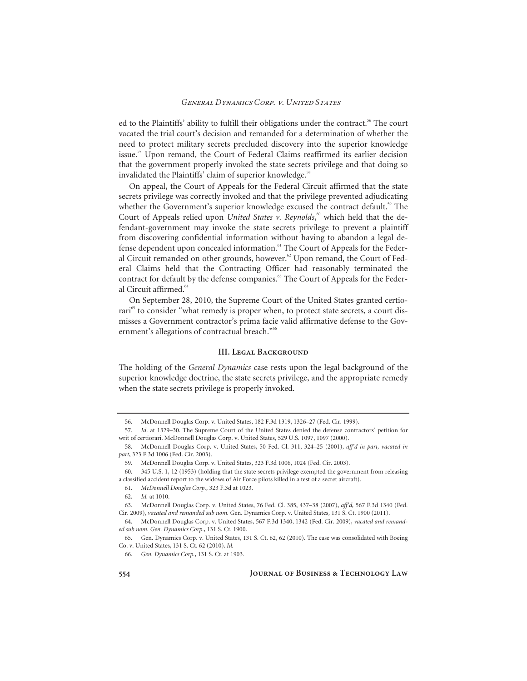ed to the Plaintiffs' ability to fulfill their obligations under the contract.<sup>56</sup> The court vacated the trial court's decision and remanded for a determination of whether the need to protect military secrets precluded discovery into the superior knowledge issue.<sup>57</sup> Upon remand, the Court of Federal Claims reaffirmed its earlier decision that the government properly invoked the state secrets privilege and that doing so invalidated the Plaintiffs' claim of superior knowledge.<sup>58</sup>

On appeal, the Court of Appeals for the Federal Circuit affirmed that the state secrets privilege was correctly invoked and that the privilege prevented adjudicating whether the Government's superior knowledge excused the contract default.<sup>59</sup> The Court of Appeals relied upon *United States v. Reynolds*,<sup>60</sup> which held that the defendant-government may invoke the state secrets privilege to prevent a plaintiff from discovering confidential information without having to abandon a legal defense dependent upon concealed information.<sup>61</sup> The Court of Appeals for the Federal Circuit remanded on other grounds, however.<sup>62</sup> Upon remand, the Court of Federal Claims held that the Contracting Officer had reasonably terminated the contract for default by the defense companies.<sup>63</sup> The Court of Appeals for the Federal Circuit affirmed.<sup>64</sup>

On September 28, 2010, the Supreme Court of the United States granted certiorari<sup>65</sup> to consider "what remedy is proper when, to protect state secrets, a court dismisses a Government contractor's prima facie valid affirmative defense to the Government's allegations of contractual breach."<sup>66</sup>

#### **III. LEGAL BACKGROUND**

The holding of the *General Dynamics* case rests upon the legal background of the superior knowledge doctrine, the state secrets privilege, and the appropriate remedy when the state secrets privilege is properly invoked.

 <sup>56.</sup> McDonnell Douglas Corp. v. United States, 182 F.3d 1319, 1326–27 (Fed. Cir. 1999).

<sup>57.</sup> *Id*. at 1329–30. The Supreme Court of the United States denied the defense contractors' petition for writ of certiorari. McDonnell Douglas Corp. v. United States, 529 U.S. 1097, 1097 (2000).

 <sup>58.</sup> McDonnell Douglas Corp. v. United States, 50 Fed. Cl. 311, 324–25 (2001), *aff'd in part, vacated in part*, 323 F.3d 1006 (Fed. Cir. 2003).

 <sup>59.</sup> McDonnell Douglas Corp. v. United States, 323 F.3d 1006, 1024 (Fed. Cir. 2003).

 <sup>60. 345</sup> U.S. 1, 12 (1953) (holding that the state secrets privilege exempted the government from releasing a classified accident report to the widows of Air Force pilots killed in a test of a secret aircraft).

<sup>61.</sup> *McDonnell Douglas Corp.*, 323 F.3d at 1023.

<sup>62.</sup> *Id.* at 1010.

 <sup>63.</sup> McDonnell Douglas Corp. v. United States, 76 Fed. Cl. 385, 437–38 (2007), *aff'd,* 567 F.3d 1340 (Fed. Cir. 2009), *vacated and remanded sub nom.* Gen. Dynamics Corp. v. United States, 131 S. Ct. 1900 (2011).

 <sup>64.</sup> McDonnell Douglas Corp. v. United States, 567 F.3d 1340, 1342 (Fed. Cir. 2009), *vacated and remanded sub nom. Gen. Dynamics Corp.*, 131 S. Ct. 1900.

 <sup>65.</sup> Gen. Dynamics Corp. v. United States, 131 S. Ct. 62, 62 (2010). The case was consolidated with Boeing Co. v. United States, 131 S. Ct. 62 (2010). *Id.*

<sup>66.</sup> *Gen. Dynamics Corp.*, 131 S. Ct. at 1903.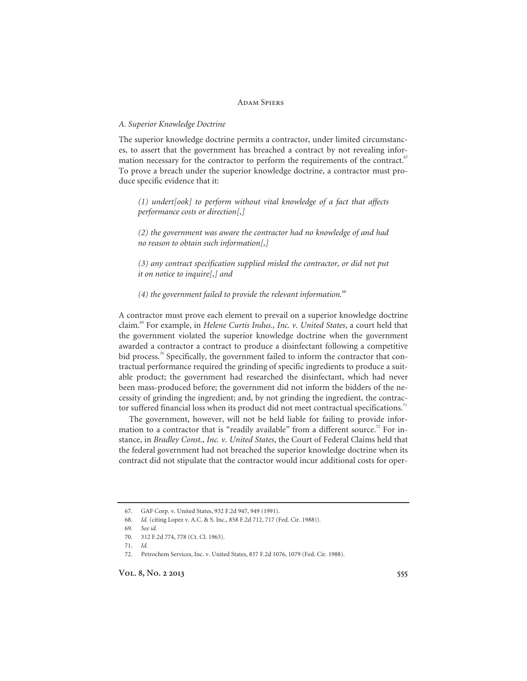#### *A. Superior Knowledge Doctrine*

The superior knowledge doctrine permits a contractor, under limited circumstances, to assert that the government has breached a contract by not revealing information necessary for the contractor to perform the requirements of the contract.<sup>67</sup> To prove a breach under the superior knowledge doctrine, a contractor must produce specific evidence that it:

*(1) undert[ook] to perform without vital knowledge of a fact that affects performance costs or direction[,]* 

*(2) the government was aware the contractor had no knowledge of and had no reason to obtain such information[,]* 

*(3) any contract specification supplied misled the contractor, or did not put it on notice to inquire[,] and* 

*(4) the government failed to provide the relevant information.*<sup>68</sup>

A contractor must prove each element to prevail on a superior knowledge doctrine claim.69 For example, in *Helene Curtis Indus., Inc. v. United States*, a court held that the government violated the superior knowledge doctrine when the government awarded a contractor a contract to produce a disinfectant following a competitive bid process.<sup>70</sup> Specifically, the government failed to inform the contractor that contractual performance required the grinding of specific ingredients to produce a suitable product; the government had researched the disinfectant, which had never been mass-produced before; the government did not inform the bidders of the necessity of grinding the ingredient; and, by not grinding the ingredient, the contractor suffered financial loss when its product did not meet contractual specifications.<sup>71</sup>

The government, however, will not be held liable for failing to provide information to a contractor that is "readily available" from a different source.<sup>72</sup> For instance, in *Bradley Const., Inc. v. United States*, the Court of Federal Claims held that the federal government had not breached the superior knowledge doctrine when its contract did not stipulate that the contractor would incur additional costs for oper-

 <sup>67.</sup> GAF Corp. v. United States, 932 F.2d 947, 949 (1991).

<sup>68.</sup> *Id.* (citing Lopez v. A.C. & S. Inc., 858 F.2d 712, 717 (Fed. Cir. 1988)).

<sup>69.</sup> *See id.*

 <sup>70. 312</sup> F.2d 774, 778 (Ct. Cl. 1963).

<sup>71.</sup> *Id.*

 <sup>72.</sup> Petrochem Services, Inc. v. United States, 837 F.2d 1076, 1079 (Fed. Cir. 1988).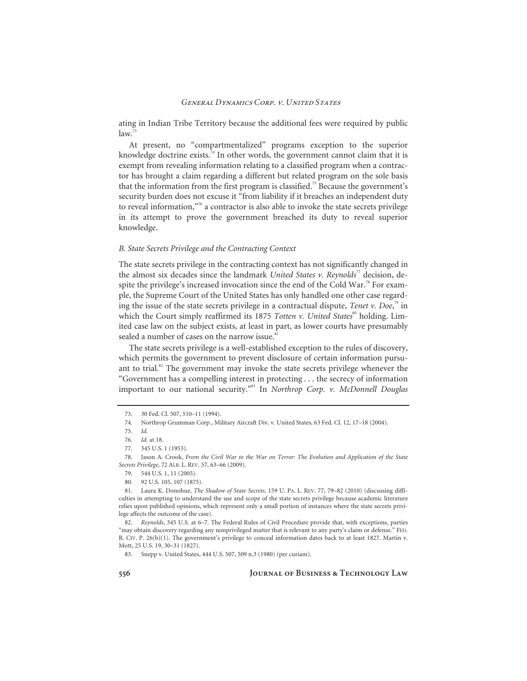ating in Indian Tribe Territory because the additional fees were required by public  $law<sup>3</sup>$ 

At present, no "compartmentalized" programs exception to the superior knowledge doctrine exists.<sup>74</sup> In other words, the government cannot claim that it is exempt from revealing information relating to a classified program when a contractor has brought a claim regarding a different but related program on the sole basis that the information from the first program is classified.<sup>75</sup> Because the government's security burden does not excuse it "from liability if it breaches an independent duty to reveal information,"76 a contractor is also able to invoke the state secrets privilege in its attempt to prove the government breached its duty to reveal superior knowledge.

#### *B. State Secrets Privilege and the Contracting Context*

The state secrets privilege in the contracting context has not significantly changed in the almost six decades since the landmark *United States v. Reynolds*<sup>77</sup> decision, despite the privilege's increased invocation since the end of the Cold War.<sup>78</sup> For example, the Supreme Court of the United States has only handled one other case regarding the issue of the state secrets privilege in a contractual dispute, *Tenet v. Doe*, 79 in which the Court simply reaffirmed its 1875 *Totten v. United States*<sup>80</sup> holding. Limited case law on the subject exists, at least in part, as lower courts have presumably sealed a number of cases on the narrow issue.<sup>81</sup>

The state secrets privilege is a well-established exception to the rules of discovery, which permits the government to prevent disclosure of certain information pursuant to trial. $82$  The government may invoke the state secrets privilege whenever the "Government has a compelling interest in protecting . . . the secrecy of information important to our national security."83 In *Northrop Corp. v. McDonnell Douglas* 

 <sup>73. 30</sup> Fed. Cl. 507, 510–11 (1994).

 <sup>74.</sup> Northrop Grumman Corp., Military Aircraft Div. v. United States, 63 Fed. Cl. 12, 17–18 (2004).

<sup>75.</sup> *Id.*

<sup>76.</sup> *Id.* at 18.

 <sup>77. 345</sup> U.S. 1 (1953).

 <sup>78.</sup> Jason A. Crook, *From the Civil War to the War on Terror: The Evolution and Application of the State Secrets Privilege*, 72 ALB. L. REV. 57, 63–66 (2009).

 <sup>79. 544</sup> U.S. 1, 11 (2005).

 <sup>80. 92</sup> U.S. 105, 107 (1875).

 <sup>81.</sup> Laura K. Donohue, *The Shadow of State Secrets*, 159 U. PA. L. REV. 77, 79–82 (2010) (discussing difficulties in attempting to understand the use and scope of the state secrets privilege because academic literature relies upon published opinions, which represent only a small portion of instances where the state secrets privilege affects the outcome of the case).

<sup>82.</sup> *Reynolds*, 345 U.S. at 6–7. The Federal Rules of Civil Procedure provide that, with exceptions, parties "may obtain discovery regarding any nonprivileged matter that is relevant to any party's claim or defense." FED. R. CIV. P. 26(b)(1). The government's privilege to conceal information dates back to at least 1827. Martin v. Mott, 25 U.S. 19, 30–31 (1827).

 <sup>83.</sup> Snepp v. United States, 444 U.S. 507, 509 n.3 (1980) (per curiam).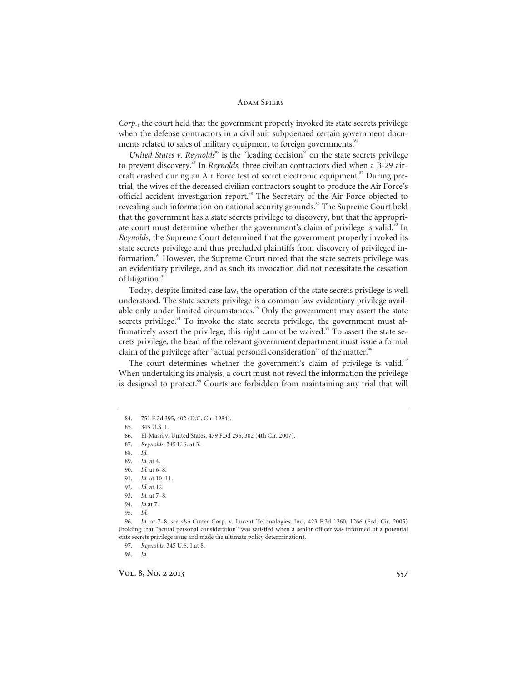*Corp.*, the court held that the government properly invoked its state secrets privilege when the defense contractors in a civil suit subpoenaed certain government documents related to sales of military equipment to foreign governments.<sup>84</sup>

*United States v. Reynolds*<sup>85</sup> is the "leading decision" on the state secrets privilege to prevent discovery.<sup>86</sup> In *Reynolds*, three civilian contractors died when a B-29 aircraft crashed during an Air Force test of secret electronic equipment.<sup>87</sup> During pretrial, the wives of the deceased civilian contractors sought to produce the Air Force's official accident investigation report.<sup>88</sup> The Secretary of the Air Force objected to revealing such information on national security grounds.<sup>89</sup> The Supreme Court held that the government has a state secrets privilege to discovery, but that the appropriate court must determine whether the government's claim of privilege is valid.<sup>90</sup> In *Reynolds*, the Supreme Court determined that the government properly invoked its state secrets privilege and thus precluded plaintiffs from discovery of privileged information. $\mathbb{R}^{91}$  However, the Supreme Court noted that the state secrets privilege was an evidentiary privilege, and as such its invocation did not necessitate the cessation of litigation.<sup>9</sup>

Today, despite limited case law, the operation of the state secrets privilege is well understood. The state secrets privilege is a common law evidentiary privilege available only under limited circumstances.<sup>93</sup> Only the government may assert the state secrets privilege. $94$  To invoke the state secrets privilege, the government must affirmatively assert the privilege; this right cannot be waived.<sup>95</sup> To assert the state secrets privilege, the head of the relevant government department must issue a formal claim of the privilege after "actual personal consideration" of the matter.<sup>96</sup>

The court determines whether the government's claim of privilege is valid.<sup>97</sup> When undertaking its analysis, a court must not reveal the information the privilege is designed to protect.<sup>98</sup> Courts are forbidden from maintaining any trial that will

state secrets privilege issue and made the ultimate policy determination). 97. *Reynolds*, 345 U.S. 1 at 8.

98. *Id.*

 <sup>84. 751</sup> F.2d 395, 402 (D.C. Cir. 1984).

 <sup>85. 345</sup> U.S. 1.

 <sup>86.</sup> El-Masri v. United States, 479 F.3d 296, 302 (4th Cir. 2007).

<sup>87.</sup> *Reynolds*, 345 U.S. at 3.

<sup>88.</sup> *Id.*

<sup>89.</sup> *Id.* at 4.

<sup>90.</sup> *Id.* at 6–8.

<sup>91.</sup> *Id.* at 10–11.

<sup>92.</sup> *Id.* at 12.

<sup>93.</sup> *Id.* at 7–8.

<sup>94.</sup> *Id* at 7.

<sup>95.</sup> *Id.*

<sup>96.</sup> *Id.* at 7–8; *see also* Crater Corp. v. Lucent Technologies, Inc., 423 F.3d 1260, 1266 (Fed. Cir. 2005) (holding that "actual personal consideration" was satisfied when a senior officer was informed of a potential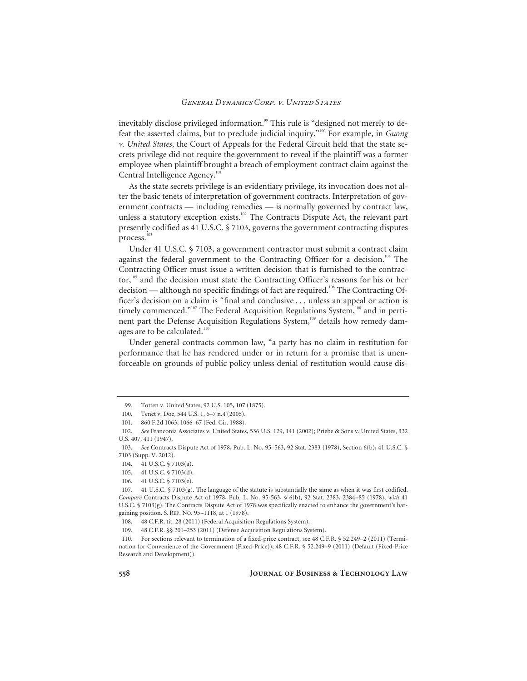inevitably disclose privileged information.<sup>99</sup> This rule is "designed not merely to defeat the asserted claims, but to preclude judicial inquiry."100 For example, in *Guong v. United States*, the Court of Appeals for the Federal Circuit held that the state secrets privilege did not require the government to reveal if the plaintiff was a former employee when plaintiff brought a breach of employment contract claim against the Central Intelligence Agency.<sup>101</sup>

As the state secrets privilege is an evidentiary privilege, its invocation does not alter the basic tenets of interpretation of government contracts. Interpretation of government contracts — including remedies — is normally governed by contract law, unless a statutory exception exists.<sup>102</sup> The Contracts Dispute Act, the relevant part presently codified as 41 U.S.C. § 7103, governs the government contracting disputes process.<sup>1</sup>

Under 41 U.S.C. § 7103, a government contractor must submit a contract claim against the federal government to the Contracting Officer for a decision.<sup>104</sup> The Contracting Officer must issue a written decision that is furnished to the contractor,<sup>105</sup> and the decision must state the Contracting Officer's reasons for his or her decision — although no specific findings of fact are required.<sup>106</sup> The Contracting Officer's decision on a claim is "final and conclusive . . . unless an appeal or action is timely commenced."<sup>107</sup> The Federal Acquisition Regulations System, $108$  and in pertinent part the Defense Acquisition Regulations System,<sup>109</sup> details how remedy damages are to be calculated. $110$ 

Under general contracts common law, "a party has no claim in restitution for performance that he has rendered under or in return for a promise that is unenforceable on grounds of public policy unless denial of restitution would cause dis-

 <sup>99.</sup> Totten v. United States, 92 U.S. 105, 107 (1875).

 <sup>100.</sup> Tenet v. Doe, 544 U.S. 1, 6–7 n.4 (2005).

 <sup>101. 860</sup> F.2d 1063, 1066–67 (Fed. Cir. 1988).

<sup>102.</sup> *See* Franconia Associates v. United States, 536 U.S. 129, 141 (2002); Priebe & Sons v. United States, 332 U.S. 407, 411 (1947).

<sup>103.</sup> *See* Contracts Dispute Act of 1978, Pub. L. No. 95–563, 92 Stat. 2383 (1978), Section 6(b); 41 U.S.C. § 7103 (Supp. V. 2012).

 <sup>104. 41</sup> U.S.C. § 7103(a).

 <sup>105. 41</sup> U.S.C. § 7103(d).

 <sup>106. 41</sup> U.S.C. § 7103(e).

 <sup>107. 41</sup> U.S.C. § 7103(g). The language of the statute is substantially the same as when it was first codified. *Compare* Contracts Dispute Act of 1978, Pub. L. No. 95-563, § 6(b), 92 Stat. 2383, 2384--85 (1978), *with* 41 U.S.C. § 7103(g). The Contracts Dispute Act of 1978 was specifically enacted to enhance the government's bargaining position. S. REP. NO. 95-1118, at 1 (1978).

 <sup>108. 48</sup> C.F.R. tit. 28 (2011) (Federal Acquisition Regulations System).

 <sup>109. 48</sup> C.F.R. §§ 201–253 (2011) (Defense Acquisition Regulations System).

 <sup>110.</sup> For sections relevant to termination of a fixed-price contract, see 48 C.F.R. § 52.249–2 (2011) (Termination for Convenience of the Government (Fixed-Price)); 48 C.F.R. § 52.249–9 (2011) (Default (Fixed-Price Research and Development)).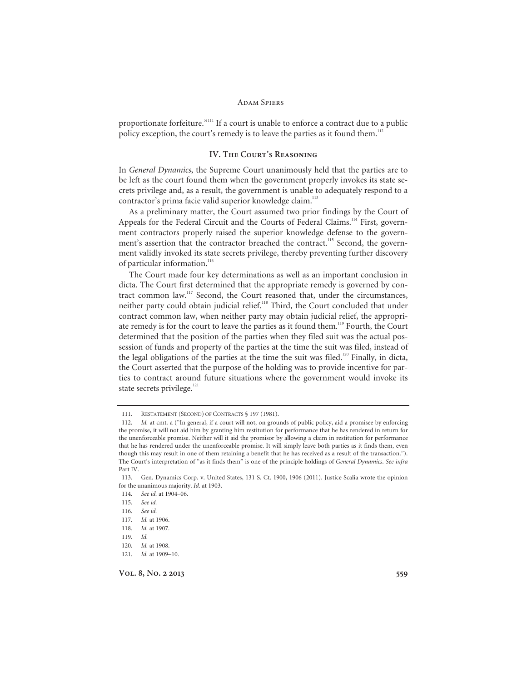proportionate forfeiture."<sup>111</sup> If a court is unable to enforce a contract due to a public policy exception, the court's remedy is to leave the parties as it found them.<sup>112</sup>

#### **IV. The Court's Reasoning**

In *General Dynamics*, the Supreme Court unanimously held that the parties are to be left as the court found them when the government properly invokes its state secrets privilege and, as a result, the government is unable to adequately respond to a contractor's prima facie valid superior knowledge claim.<sup>113</sup>

As a preliminary matter, the Court assumed two prior findings by the Court of Appeals for the Federal Circuit and the Courts of Federal Claims.<sup>114</sup> First, government contractors properly raised the superior knowledge defense to the government's assertion that the contractor breached the contract.<sup>115</sup> Second, the government validly invoked its state secrets privilege, thereby preventing further discovery of particular information.<sup>116</sup>

The Court made four key determinations as well as an important conclusion in dicta. The Court first determined that the appropriate remedy is governed by contract common law.<sup>117</sup> Second, the Court reasoned that, under the circumstances, neither party could obtain judicial relief.<sup>118</sup> Third, the Court concluded that under contract common law, when neither party may obtain judicial relief, the appropriate remedy is for the court to leave the parties as it found them.<sup>119</sup> Fourth, the Court determined that the position of the parties when they filed suit was the actual possession of funds and property of the parties at the time the suit was filed, instead of the legal obligations of the parties at the time the suit was filed.<sup>120</sup> Finally, in dicta, the Court asserted that the purpose of the holding was to provide incentive for parties to contract around future situations where the government would invoke its state secrets privilege.<sup>121</sup>

 <sup>111.</sup> RESTATEMENT (SECOND) OF CONTRACTS § 197 (1981).

<sup>112.</sup> *Id.* at cmt. a ("In general, if a court will not, on grounds of public policy, aid a promisee by enforcing the promise, it will not aid him by granting him restitution for performance that he has rendered in return for the unenforceable promise. Neither will it aid the promisor by allowing a claim in restitution for performance that he has rendered under the unenforceable promise. It will simply leave both parties as it finds them, even though this may result in one of them retaining a benefit that he has received as a result of the transaction."). The Court's interpretation of "as it finds them" is one of the principle holdings of *General Dynamics*. *See infra* Part IV.

 <sup>113.</sup> Gen. Dynamics Corp. v. United States, 131 S. Ct. 1900, 1906 (2011). Justice Scalia wrote the opinion for the unanimous majority. *Id.* at 1903.

<sup>114.</sup> *See id.* at 1904–06.

<sup>115.</sup> *See id.*

<sup>116.</sup> *See id.*

<sup>117.</sup> *Id.* at 1906.

<sup>118.</sup> *Id.* at 1907.

<sup>119.</sup> *Id.*

<sup>120.</sup> *Id.* at 1908.

<sup>121.</sup> *Id.* at 1909–10.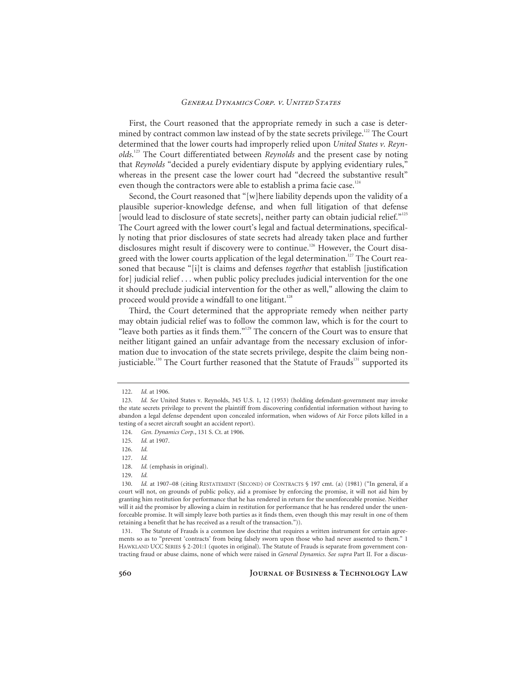First, the Court reasoned that the appropriate remedy in such a case is determined by contract common law instead of by the state secrets privilege.<sup>122</sup> The Court determined that the lower courts had improperly relied upon *United States v. Reynolds*. 123 The Court differentiated between *Reynolds* and the present case by noting that *Reynolds* "decided a purely evidentiary dispute by applying evidentiary rules," whereas in the present case the lower court had "decreed the substantive result" even though the contractors were able to establish a prima facie case.<sup>124</sup>

Second, the Court reasoned that "[w]here liability depends upon the validity of a plausible superior-knowledge defense, and when full litigation of that defense [would lead to disclosure of state secrets], neither party can obtain judicial relief."<sup>125</sup> The Court agreed with the lower court's legal and factual determinations, specifically noting that prior disclosures of state secrets had already taken place and further disclosures might result if discovery were to continue.<sup>126</sup> However, the Court disagreed with the lower courts application of the legal determination.<sup>127</sup> The Court reasoned that because "[i]t is claims and defenses *together* that establish [justification for] judicial relief . . . when public policy precludes judicial intervention for the one it should preclude judicial intervention for the other as well," allowing the claim to proceed would provide a windfall to one litigant.<sup>128</sup>

Third, the Court determined that the appropriate remedy when neither party may obtain judicial relief was to follow the common law, which is for the court to "leave both parties as it finds them."<sup>129</sup> The concern of the Court was to ensure that neither litigant gained an unfair advantage from the necessary exclusion of information due to invocation of the state secrets privilege, despite the claim being nonjusticiable.<sup>130</sup> The Court further reasoned that the Statute of Frauds<sup>131</sup> supported its

<sup>122.</sup> *Id.* at 1906.

<sup>123.</sup> *Id. See* United States v. Reynolds, 345 U.S. 1, 12 (1953) (holding defendant-government may invoke the state secrets privilege to prevent the plaintiff from discovering confidential information without having to abandon a legal defense dependent upon concealed information, when widows of Air Force pilots killed in a testing of a secret aircraft sought an accident report).

<sup>124.</sup> *Gen. Dynamics Corp.*, 131 S. Ct. at 1906.

<sup>125.</sup> *Id.* at 1907.

<sup>126.</sup> *Id.*

<sup>127.</sup> *Id.*

<sup>128.</sup> *Id.* (emphasis in original).

<sup>129.</sup> *Id.*

<sup>130.</sup> *Id.* at 1907–08 (citing RESTATEMENT (SECOND) OF CONTRACTS § 197 cmt. (a) (1981) ("In general, if a court will not, on grounds of public policy, aid a promisee by enforcing the promise, it will not aid him by granting him restitution for performance that he has rendered in return for the unenforceable promise. Neither will it aid the promisor by allowing a claim in restitution for performance that he has rendered under the unenforceable promise. It will simply leave both parties as it finds them, even though this may result in one of them retaining a benefit that he has received as a result of the transaction.")).

 <sup>131.</sup> The Statute of Frauds is a common law doctrine that requires a written instrument for certain agreements so as to "prevent 'contracts' from being falsely sworn upon those who had never assented to them." 1 HAWKLAND UCC SERIES § 2-201:1 (quotes in original). The Statute of Frauds is separate from government contracting fraud or abuse claims, none of which were raised in *General Dynamics*. *See supra* Part II. For a discus-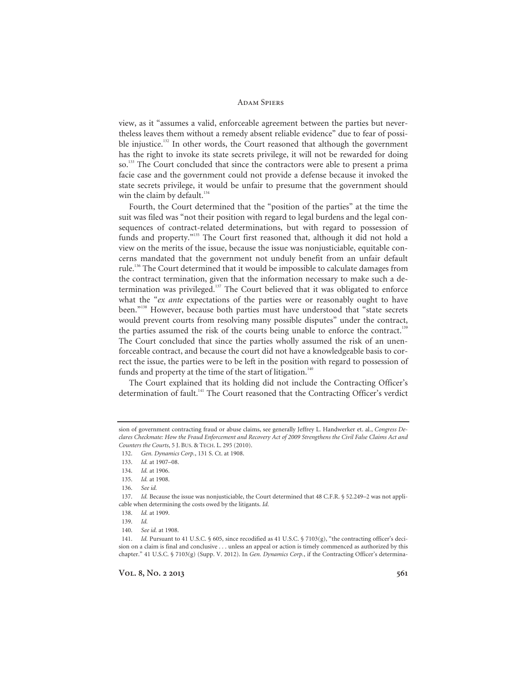view, as it "assumes a valid, enforceable agreement between the parties but nevertheless leaves them without a remedy absent reliable evidence" due to fear of possible injustice.<sup>132</sup> In other words, the Court reasoned that although the government has the right to invoke its state secrets privilege, it will not be rewarded for doing so.<sup>133</sup> The Court concluded that since the contractors were able to present a prima facie case and the government could not provide a defense because it invoked the state secrets privilege, it would be unfair to presume that the government should win the claim by default. $134$ 

Fourth, the Court determined that the "position of the parties" at the time the suit was filed was "not their position with regard to legal burdens and the legal consequences of contract-related determinations, but with regard to possession of funds and property."135 The Court first reasoned that, although it did not hold a view on the merits of the issue, because the issue was nonjusticiable, equitable concerns mandated that the government not unduly benefit from an unfair default rule.136 The Court determined that it would be impossible to calculate damages from the contract termination, given that the information necessary to make such a determination was privileged. $137$  The Court believed that it was obligated to enforce what the "*ex ante* expectations of the parties were or reasonably ought to have been."138 However, because both parties must have understood that "state secrets would prevent courts from resolving many possible disputes" under the contract, the parties assumed the risk of the courts being unable to enforce the contract.<sup>139</sup> The Court concluded that since the parties wholly assumed the risk of an unenforceable contract, and because the court did not have a knowledgeable basis to correct the issue, the parties were to be left in the position with regard to possession of funds and property at the time of the start of litigation.<sup>140</sup>

The Court explained that its holding did not include the Contracting Officer's determination of fault.<sup>141</sup> The Court reasoned that the Contracting Officer's verdict

sion of government contracting fraud or abuse claims, see generally Jeffrey L. Handwerker et. al., *Congress Declares Checkmate: How the Fraud Enforcement and Recovery Act of 2009 Strengthens the Civil False Claims Act and Counters the Courts*, 5 J. BUS. & TECH. L. 295 (2010).

<sup>132.</sup> *Gen. Dynamics Corp.*, 131 S. Ct. at 1908.

<sup>133.</sup> *Id.* at 1907–08.

<sup>134.</sup> *Id.* at 1906.

<sup>135.</sup> *Id.* at 1908.

<sup>136.</sup> *See id.*

<sup>137.</sup> *Id.* Because the issue was nonjusticiable, the Court determined that 48 C.F.R. § 52.249–2 was not applicable when determining the costs owed by the litigants. *Id.*

<sup>138.</sup> *Id.* at 1909.

<sup>139.</sup> *Id.*

<sup>140.</sup> *See id.* at 1908.

<sup>141.</sup> *Id.* Pursuant to 41 U.S.C. § 605, since recodified as 41 U.S.C. § 7103(g), "the contracting officer's decision on a claim is final and conclusive . . . unless an appeal or action is timely commenced as authorized by this chapter." 41 U.S.C. § 7103(g) (Supp. V. 2012). In *Gen. Dynamics Corp.*, if the Contracting Officer's determina-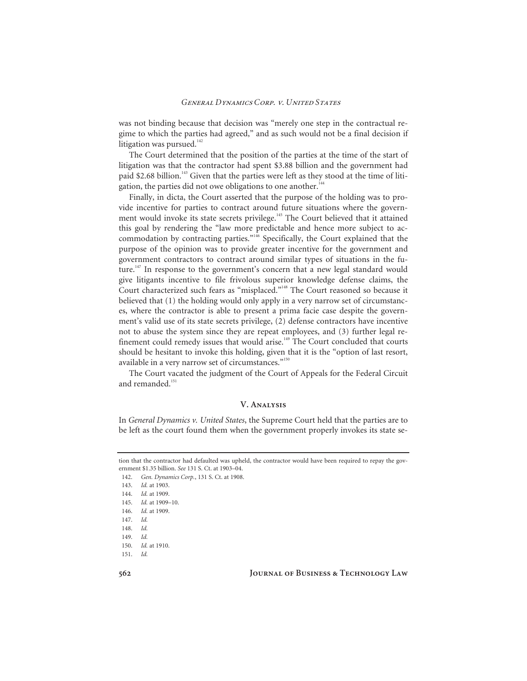was not binding because that decision was "merely one step in the contractual regime to which the parties had agreed," and as such would not be a final decision if litigation was pursued. $142$ 

The Court determined that the position of the parties at the time of the start of litigation was that the contractor had spent \$3.88 billion and the government had paid \$2.68 billion.<sup>143</sup> Given that the parties were left as they stood at the time of litigation, the parties did not owe obligations to one another.<sup>144</sup>

Finally, in dicta, the Court asserted that the purpose of the holding was to provide incentive for parties to contract around future situations where the government would invoke its state secrets privilege.<sup>145</sup> The Court believed that it attained this goal by rendering the "law more predictable and hence more subject to accommodation by contracting parties."146 Specifically, the Court explained that the purpose of the opinion was to provide greater incentive for the government and government contractors to contract around similar types of situations in the future.<sup>147</sup> In response to the government's concern that a new legal standard would give litigants incentive to file frivolous superior knowledge defense claims, the Court characterized such fears as "misplaced."148 The Court reasoned so because it believed that (1) the holding would only apply in a very narrow set of circumstances, where the contractor is able to present a prima facie case despite the government's valid use of its state secrets privilege, (2) defense contractors have incentive not to abuse the system since they are repeat employees, and (3) further legal refinement could remedy issues that would arise.<sup>149</sup> The Court concluded that courts should be hesitant to invoke this holding, given that it is the "option of last resort, available in a very narrow set of circumstances."<sup>150</sup>

The Court vacated the judgment of the Court of Appeals for the Federal Circuit and remanded.<sup>151</sup>

#### **V. Analysis**

In *General Dynamics v. United States*, the Supreme Court held that the parties are to be left as the court found them when the government properly invokes its state se-

tion that the contractor had defaulted was upheld, the contractor would have been required to repay the government \$1.35 billion. *See* 131 S. Ct. at 1903–04.

<sup>142.</sup> *Gen. Dynamics Corp.*, 131 S. Ct. at 1908.

<sup>143.</sup> *Id.* at 1903.

<sup>144.</sup> *Id.* at 1909.

<sup>145.</sup> *Id.* at 1909–10.

<sup>146.</sup> *Id.* at 1909.

<sup>147.</sup> *Id.*

<sup>148.</sup> *Id.*

<sup>149.</sup> *Id.*

<sup>150.</sup> *Id.* at 1910.

<sup>151.</sup> *Id.*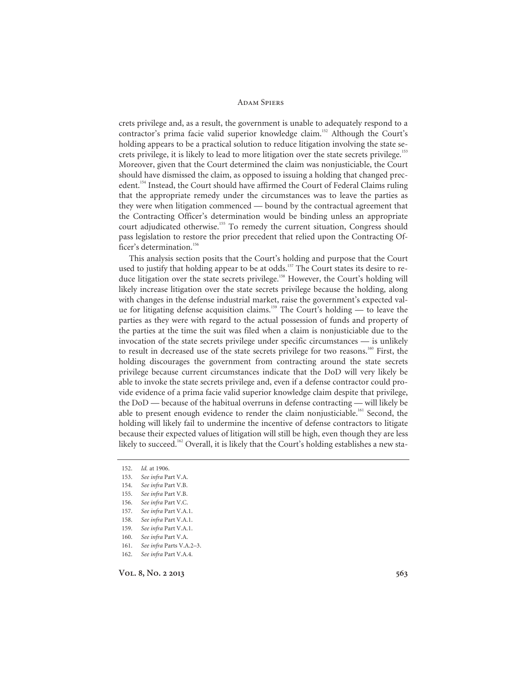crets privilege and, as a result, the government is unable to adequately respond to a contractor's prima facie valid superior knowledge claim.<sup>152</sup> Although the Court's holding appears to be a practical solution to reduce litigation involving the state secrets privilege, it is likely to lead to more litigation over the state secrets privilege.<sup>153</sup> Moreover, given that the Court determined the claim was nonjusticiable, the Court should have dismissed the claim, as opposed to issuing a holding that changed precedent.<sup>154</sup> Instead, the Court should have affirmed the Court of Federal Claims ruling that the appropriate remedy under the circumstances was to leave the parties as they were when litigation commenced — bound by the contractual agreement that the Contracting Officer's determination would be binding unless an appropriate court adjudicated otherwise.<sup>155</sup> To remedy the current situation, Congress should pass legislation to restore the prior precedent that relied upon the Contracting Officer's determination.<sup>156</sup>

This analysis section posits that the Court's holding and purpose that the Court used to justify that holding appear to be at odds.<sup>157</sup> The Court states its desire to reduce litigation over the state secrets privilege.<sup>158</sup> However, the Court's holding will likely increase litigation over the state secrets privilege because the holding, along with changes in the defense industrial market, raise the government's expected value for litigating defense acquisition claims.<sup>159</sup> The Court's holding — to leave the parties as they were with regard to the actual possession of funds and property of the parties at the time the suit was filed when a claim is nonjusticiable due to the invocation of the state secrets privilege under specific circumstances — is unlikely to result in decreased use of the state secrets privilege for two reasons.<sup>160</sup> First, the holding discourages the government from contracting around the state secrets privilege because current circumstances indicate that the DoD will very likely be able to invoke the state secrets privilege and, even if a defense contractor could provide evidence of a prima facie valid superior knowledge claim despite that privilege, the DoD — because of the habitual overruns in defense contracting — will likely be able to present enough evidence to render the claim nonjusticiable.<sup>161</sup> Second, the holding will likely fail to undermine the incentive of defense contractors to litigate because their expected values of litigation will still be high, even though they are less likely to succeed.<sup>162</sup> Overall, it is likely that the Court's holding establishes a new sta-

<sup>152.</sup> *Id.* at 1906.

<sup>153.</sup> *See infra* Part V.A.

<sup>154.</sup> *See infra* Part V.B.

<sup>155.</sup> *See infra* Part V.B.

<sup>156.</sup> *See infra* Part V.C.

<sup>157.</sup> *See infra* Part V.A.1.

<sup>158.</sup> *See infra* Part V.A.1.

<sup>159.</sup> *See infra* Part V.A.1.

<sup>160.</sup> *See infra* Part V.A.

<sup>161.</sup> *See infra* Parts V.A.2–3.

<sup>162.</sup> *See infra* Part V.A.4.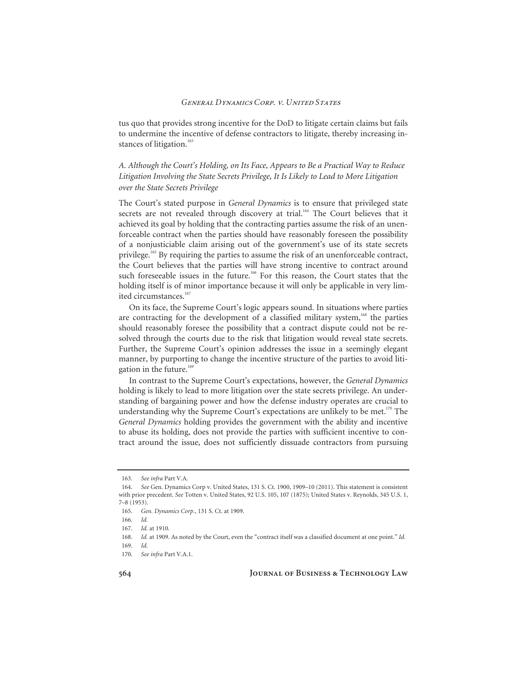tus quo that provides strong incentive for the DoD to litigate certain claims but fails to undermine the incentive of defense contractors to litigate, thereby increasing instances of litigation.<sup>163</sup>

*A. Although the Court's Holding, on Its Face, Appears to Be a Practical Way to Reduce Litigation Involving the State Secrets Privilege, It Is Likely to Lead to More Litigation over the State Secrets Privilege*

The Court's stated purpose in *General Dynamics* is to ensure that privileged state secrets are not revealed through discovery at trial.<sup>164</sup> The Court believes that it achieved its goal by holding that the contracting parties assume the risk of an unenforceable contract when the parties should have reasonably foreseen the possibility of a nonjusticiable claim arising out of the government's use of its state secrets privilege.<sup>165</sup> By requiring the parties to assume the risk of an unenforceable contract, the Court believes that the parties will have strong incentive to contract around such foreseeable issues in the future.<sup>166</sup> For this reason, the Court states that the holding itself is of minor importance because it will only be applicable in very limited circumstances.<sup>16</sup>

On its face, the Supreme Court's logic appears sound. In situations where parties are contracting for the development of a classified military system, $168$  the parties should reasonably foresee the possibility that a contract dispute could not be resolved through the courts due to the risk that litigation would reveal state secrets. Further, the Supreme Court's opinion addresses the issue in a seemingly elegant manner, by purporting to change the incentive structure of the parties to avoid litigation in the future.<sup>16</sup>

In contrast to the Supreme Court's expectations, however, the *General Dynamics* holding is likely to lead to more litigation over the state secrets privilege. An understanding of bargaining power and how the defense industry operates are crucial to understanding why the Supreme Court's expectations are unlikely to be met.<sup>170</sup> The *General Dynamics* holding provides the government with the ability and incentive to abuse its holding, does not provide the parties with sufficient incentive to contract around the issue, does not sufficiently dissuade contractors from pursuing

<sup>163.</sup> *See infra* Part V.A.

<sup>164.</sup> *See* Gen. Dynamics Corp v. United States, 131 S. Ct. 1900, 1909–10 (2011). This statement is consistent with prior precedent. *See* Totten v. United States, 92 U.S. 105, 107 (1875); United States v. Reynolds, 345 U.S. 1, 7–8 (1953).

<sup>165.</sup> *Gen. Dynamics Corp.*, 131 S. Ct. at 1909.

<sup>166.</sup> *Id.*

<sup>167.</sup> *Id.* at 1910.

<sup>168.</sup> *Id.* at 1909. As noted by the Court, even the "contract itself was a classified document at one point." *Id.*

<sup>169.</sup> *Id.*

<sup>170.</sup> *See infra* Part V.A.1.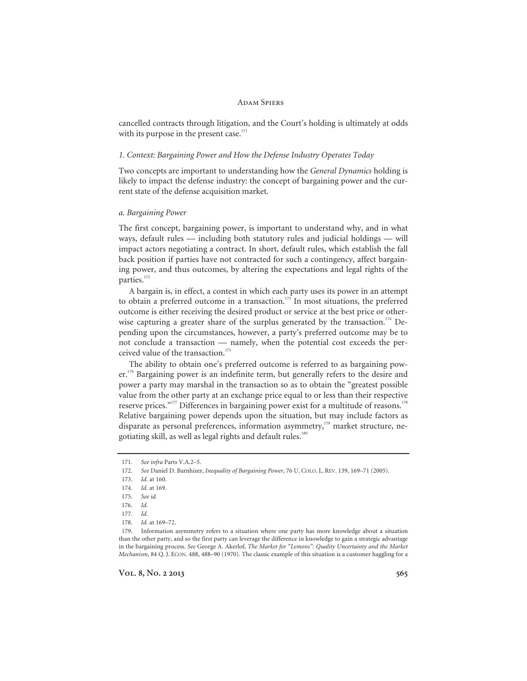#### **ADAM SPIERS**

cancelled contracts through litigation, and the Court's holding is ultimately at odds with its purpose in the present case. $171$ 

### *1. Context: Bargaining Power and How the Defense Industry Operates Today*

Two concepts are important to understanding how the *General Dynamics* holding is likely to impact the defense industry: the concept of bargaining power and the current state of the defense acquisition market.

#### *a. Bargaining Power*

The first concept, bargaining power, is important to understand why, and in what ways, default rules — including both statutory rules and judicial holdings — will impact actors negotiating a contract. In short, default rules, which establish the fall back position if parties have not contracted for such a contingency, affect bargaining power, and thus outcomes, by altering the expectations and legal rights of the parties.<sup>172</sup>

A bargain is, in effect, a contest in which each party uses its power in an attempt to obtain a preferred outcome in a transaction.<sup>173</sup> In most situations, the preferred outcome is either receiving the desired product or service at the best price or otherwise capturing a greater share of the surplus generated by the transaction.<sup>174</sup> Depending upon the circumstances, however, a party's preferred outcome may be to not conclude a transaction — namely, when the potential cost exceeds the perceived value of the transaction.<sup>175</sup>

The ability to obtain one's preferred outcome is referred to as bargaining power.<sup>176</sup> Bargaining power is an indefinite term, but generally refers to the desire and power a party may marshal in the transaction so as to obtain the "greatest possible value from the other party at an exchange price equal to or less than their respective reserve prices."<sup>177</sup> Differences in bargaining power exist for a multitude of reasons.<sup>178</sup> Relative bargaining power depends upon the situation, but may include factors as disparate as personal preferences, information asymmetry, $179$  market structure, negotiating skill, as well as legal rights and default rules.<sup>180</sup>

<sup>171.</sup> *See infra* Parts V.A.2–5.

<sup>172.</sup> *See* Daniel D. Barnhizer, *Inequality of Bargaining Power*, 76 U. COLO. L. REV. 139, 169–71 (2005).

<sup>173.</sup> *Id.* at 160.

<sup>174.</sup> *Id.* at 169.

<sup>175.</sup> *See id.*

<sup>176.</sup> *Id.*

<sup>177.</sup> *Id.*

<sup>178.</sup> *Id.* at 169–72.

 <sup>179.</sup> Information asymmetry refers to a situation where one party has more knowledge about a situation than the other party, and so the first party can leverage the difference in knowledge to gain a strategic advantage in the bargaining process. *See* George A. Akerlof, *The Market for "Lemons": Quality Uncertainty and the Market Mechanism*, 84 Q. J. ECON. 488, 488–90 (1970). The classic example of this situation is a customer haggling for a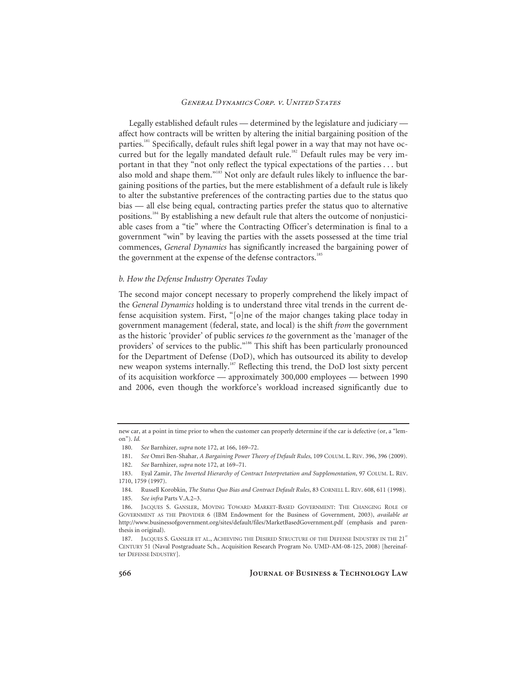Legally established default rules — determined by the legislature and judiciary affect how contracts will be written by altering the initial bargaining position of the parties.<sup>181</sup> Specifically, default rules shift legal power in a way that may not have occurred but for the legally mandated default rule.<sup>182</sup> Default rules may be very important in that they "not only reflect the typical expectations of the parties . . . but also mold and shape them."<sup>183</sup> Not only are default rules likely to influence the bargaining positions of the parties, but the mere establishment of a default rule is likely to alter the substantive preferences of the contracting parties due to the status quo bias — all else being equal, contracting parties prefer the status quo to alternative positions.184 By establishing a new default rule that alters the outcome of nonjusticiable cases from a "tie" where the Contracting Officer's determination is final to a government "win" by leaving the parties with the assets possessed at the time trial commences, *General Dynamics* has significantly increased the bargaining power of the government at the expense of the defense contractors.<sup>185</sup>

#### *b. How the Defense Industry Operates Today*

The second major concept necessary to properly comprehend the likely impact of the *General Dynamics* holding is to understand three vital trends in the current defense acquisition system. First, "[o]ne of the major changes taking place today in government management (federal, state, and local) is the shift *from* the government as the historic 'provider' of public services *to* the government as the 'manager of the providers' of services to the public."<sup>186</sup> This shift has been particularly pronounced for the Department of Defense (DoD), which has outsourced its ability to develop new weapon systems internally.<sup>187</sup> Reflecting this trend, the DoD lost sixty percent of its acquisition workforce — approximately 300,000 employees — between 1990 and 2006, even though the workforce's workload increased significantly due to

new car, at a point in time prior to when the customer can properly determine if the car is defective (or, a "lemon"). *Id.*

<sup>180.</sup> *See* Barnhizer, *supra* note 172, at 166, 169–72.

<sup>181.</sup> *See* Omri Ben-Shahar, *A Bargaining Power Theory of Default Rules*, 109 COLUM. L. REV. 396, 396 (2009).

<sup>182.</sup> *See* Barnhizer, *supra* note 172, at 169–71.

 <sup>183.</sup> Eyal Zamir, *The Inverted Hierarchy of Contract Interpretation and Supplementation*, 97 COLUM. L. REV. 1710, 1759 (1997).

 <sup>184.</sup> Russell Korobkin, *The Status Quo Bias and Contract Default Rules*, 83 CORNELL L. REV. 608, 611 (1998). 185. *See infra* Parts V.A.2–3.

 <sup>186.</sup> JACQUES S. GANSLER, MOVING TOWARD MARKET-BASED GOVERNMENT: THE CHANGING ROLE OF GOVERNMENT AS THE PROVIDER 6 (IBM Endowment for the Business of Government, 2003), *available at* http://www.businessofgovernment.org/sites/default/files/MarketBasedGovernment.pdf (emphasis and parenthesis in original).

<sup>187.</sup> JACQUES S. GANSLER ET AL., ACHIEVING THE DESIRED STRUCTURE OF THE DEFENSE INDUSTRY IN THE 21<sup>ST</sup> CENTURY 51 (Naval Postgraduate Sch., Acquisition Research Program No. UMD-AM-08-125, 2008) [hereinafter DEFENSE INDUSTRY].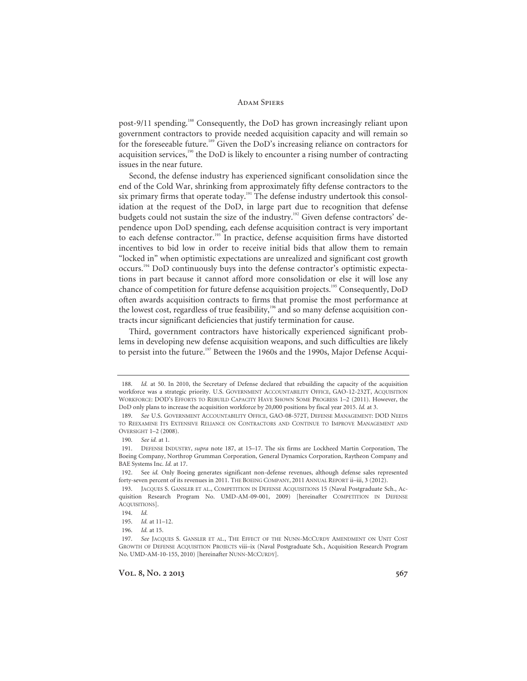post-9/11 spending.<sup>188</sup> Consequently, the DoD has grown increasingly reliant upon government contractors to provide needed acquisition capacity and will remain so for the foreseeable future.<sup>189</sup> Given the DoD's increasing reliance on contractors for acquisition services,<sup>190</sup> the DoD is likely to encounter a rising number of contracting issues in the near future.

Second, the defense industry has experienced significant consolidation since the end of the Cold War, shrinking from approximately fifty defense contractors to the six primary firms that operate today.<sup>191</sup> The defense industry undertook this consolidation at the request of the DoD, in large part due to recognition that defense budgets could not sustain the size of the industry.<sup>192</sup> Given defense contractors' dependence upon DoD spending, each defense acquisition contract is very important to each defense contractor.<sup>193</sup> In practice, defense acquisition firms have distorted incentives to bid low in order to receive initial bids that allow them to remain "locked in" when optimistic expectations are unrealized and significant cost growth occurs.194 DoD continuously buys into the defense contractor's optimistic expectations in part because it cannot afford more consolidation or else it will lose any chance of competition for future defense acquisition projects.<sup>195</sup> Consequently, DoD often awards acquisition contracts to firms that promise the most performance at the lowest cost, regardless of true feasibility,<sup>196</sup> and so many defense acquisition contracts incur significant deficiencies that justify termination for cause.

Third, government contractors have historically experienced significant problems in developing new defense acquisition weapons, and such difficulties are likely to persist into the future.<sup>197</sup> Between the 1960s and the 1990s, Major Defense Acqui-

<sup>188.</sup> *Id.* at 50. In 2010, the Secretary of Defense declared that rebuilding the capacity of the acquisition workforce was a strategic priority. U.S. GOVERNMENT ACCOUNTABILITY OFFICE, GAO-12-232T, ACQUISITION WORKFORCE: DOD'S EFFORTS TO REBUILD CAPACITY HAVE SHOWN SOME PROGRESS 1–2 (2011). However, the DoD only plans to increase the acquisition workforce by 20,000 positions by fiscal year 2015. *Id.* at 3.

<sup>189.</sup> *See* U.S. GOVERNMENT ACCOUNTABILITY OFFICE, GAO-08-572T, DEFENSE MANAGEMENT: DOD NEEDS TO REEXAMINE ITS EXTENSIVE RELIANCE ON CONTRACTORS AND CONTINUE TO IMPROVE MANAGEMENT AND OVERSIGHT 1–2 (2008).

<sup>190.</sup> *See id.* at 1.

 <sup>191.</sup> DEFENSE INDUSTRY, *supra* note 187, at 15–17. The six firms are Lockheed Martin Corporation, The Boeing Company, Northrop Grumman Corporation, General Dynamics Corporation, Raytheon Company and BAE Systems Inc. *Id.* at 17.

 <sup>192.</sup> See *id.* Only Boeing generates significant non-defense revenues, although defense sales represented forty-seven percent of its revenues in 2011. THE BOEING COMPANY, 2011 ANNUAL REPORT ii–iii, 3 (2012).

 <sup>193.</sup> JACQUES S. GANSLER ET AL., COMPETITION IN DEFENSE ACQUISITIONS 15 (Naval Postgraduate Sch., Acquisition Research Program No. UMD-AM-09-001, 2009) [hereinafter COMPETITION IN DEFENSE ACQUISITIONS].

<sup>194.</sup> *Id.*

<sup>195.</sup> *Id.* at 11–12.

<sup>196.</sup> *Id.* at 15.

<sup>197.</sup> *See* JACQUES S. GANSLER ET AL., THE EFFECT OF THE NUNN-MCCURDY AMENDMENT ON UNIT COST GROWTH OF DEFENSE ACQUISITION PROJECTS viii–ix (Naval Postgraduate Sch., Acquisition Research Program No. UMD-AM-10-155, 2010) [hereinafter NUNN-MCCURDY].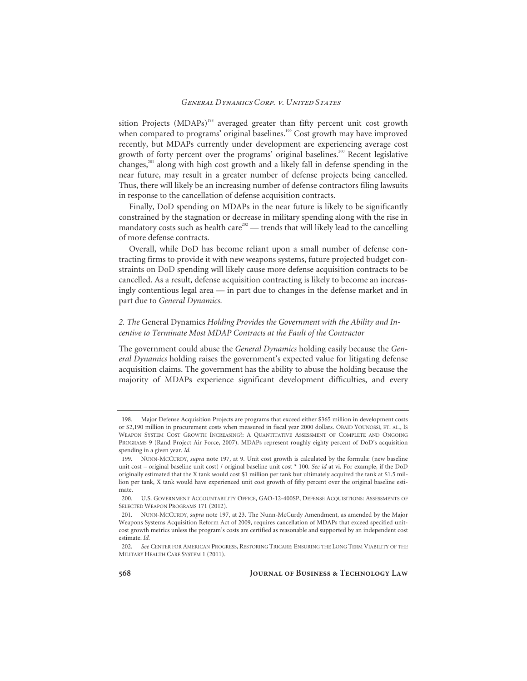sition Projects (MDAPs)<sup>198</sup> averaged greater than fifty percent unit cost growth when compared to programs' original baselines.<sup>199</sup> Cost growth may have improved recently, but MDAPs currently under development are experiencing average cost growth of forty percent over the programs' original baselines.<sup>200</sup> Recent legislative changes, $201$  along with high cost growth and a likely fall in defense spending in the near future, may result in a greater number of defense projects being cancelled. Thus, there will likely be an increasing number of defense contractors filing lawsuits in response to the cancellation of defense acquisition contracts.

Finally, DoD spending on MDAPs in the near future is likely to be significantly constrained by the stagnation or decrease in military spending along with the rise in mandatory costs such as health care<sup>202</sup> — trends that will likely lead to the cancelling of more defense contracts.

Overall, while DoD has become reliant upon a small number of defense contracting firms to provide it with new weapons systems, future projected budget constraints on DoD spending will likely cause more defense acquisition contracts to be cancelled. As a result, defense acquisition contracting is likely to become an increasingly contentious legal area — in part due to changes in the defense market and in part due to *General Dynamics*.

# *2. The* General Dynamics *Holding Provides the Government with the Ability and Incentive to Terminate Most MDAP Contracts at the Fault of the Contractor*

The government could abuse the *General Dynamics* holding easily because the *General Dynamics* holding raises the government's expected value for litigating defense acquisition claims. The government has the ability to abuse the holding because the majority of MDAPs experience significant development difficulties, and every

 <sup>198.</sup> Major Defense Acquisition Projects are programs that exceed either \$365 million in development costs or \$2,190 million in procurement costs when measured in fiscal year 2000 dollars. OBAID YOUNOSSI, ET. AL., IS WEAPON SYSTEM COST GROWTH INCREASING?: A QUANTITATIVE ASSESSMENT OF COMPLETE AND ONGOING PROGRAMS 9 (Rand Project Air Force, 2007). MDAPs represent roughly eighty percent of DoD's acquisition spending in a given year. *Id.*

 <sup>199.</sup> NUNN-MCCURDY, *supra* note 197, at 9. Unit cost growth is calculated by the formula: (new baseline unit cost – original baseline unit cost) / original baseline unit cost \* 100. *See id* at vi. For example, if the DoD originally estimated that the X tank would cost \$1 million per tank but ultimately acquired the tank at \$1.5 million per tank, X tank would have experienced unit cost growth of fifty percent over the original baseline estimate.

 <sup>200.</sup> U.S. GOVERNMENT ACCOUNTABILITY OFFICE, GAO-12-400SP, DEFENSE ACQUISITIONS: ASSESSMENTS OF SELECTED WEAPON PROGRAMS 171 (2012).

 <sup>201.</sup> NUNN-MCCURDY, *supra* note 197, at 23. The Nunn-McCurdy Amendment, as amended by the Major Weapons Systems Acquisition Reform Act of 2009, requires cancellation of MDAPs that exceed specified unitcost growth metrics unless the program's costs are certified as reasonable and supported by an independent cost estimate. *Id.*

<sup>202.</sup> *See* CENTER FOR AMERICAN PROGRESS, RESTORING TRICARE: ENSURING THE LONG TERM VIABILITY OF THE MILITARY HEALTH CARE SYSTEM 1 (2011).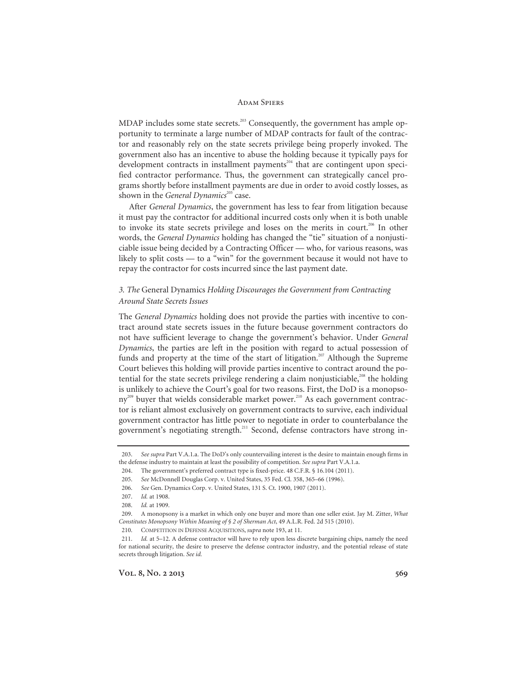MDAP includes some state secrets.<sup>203</sup> Consequently, the government has ample opportunity to terminate a large number of MDAP contracts for fault of the contractor and reasonably rely on the state secrets privilege being properly invoked. The government also has an incentive to abuse the holding because it typically pays for development contracts in installment payments<sup>204</sup> that are contingent upon specified contractor performance. Thus, the government can strategically cancel programs shortly before installment payments are due in order to avoid costly losses, as shown in the *General Dynamics*<sup>205</sup> case.

After *General Dynamics*, the government has less to fear from litigation because it must pay the contractor for additional incurred costs only when it is both unable to invoke its state secrets privilege and loses on the merits in court.<sup>206</sup> In other words, the *General Dynamics* holding has changed the "tie" situation of a nonjusticiable issue being decided by a Contracting Officer — who, for various reasons, was likely to split costs — to a "win" for the government because it would not have to repay the contractor for costs incurred since the last payment date.

# *3. The* General Dynamics *Holding Discourages the Government from Contracting Around State Secrets Issues*

The *General Dynamics* holding does not provide the parties with incentive to contract around state secrets issues in the future because government contractors do not have sufficient leverage to change the government's behavior. Under *General Dynamics*, the parties are left in the position with regard to actual possession of funds and property at the time of the start of litigation.<sup>207</sup> Although the Supreme Court believes this holding will provide parties incentive to contract around the potential for the state secrets privilege rendering a claim nonjusticiable,<sup>208</sup> the holding is unlikely to achieve the Court's goal for two reasons. First, the DoD is a monopsony<sup>209</sup> buyer that wields considerable market power.<sup>210</sup> As each government contractor is reliant almost exclusively on government contracts to survive, each individual government contractor has little power to negotiate in order to counterbalance the government's negotiating strength.<sup>211</sup> Second, defense contractors have strong in-

<sup>203.</sup> *See supra* Part V.A.1.a. The DoD's only countervailing interest is the desire to maintain enough firms in the defense industry to maintain at least the possibility of competition. *See supra* Part V.A.1.a.

 <sup>204.</sup> The government's preferred contract type is fixed-price. 48 C.F.R. § 16.104 (2011).

<sup>205.</sup> *See* McDonnell Douglas Corp. v. United States, 35 Fed. Cl. 358, 365–66 (1996).

<sup>206.</sup> *See* Gen. Dynamics Corp. v. United States, 131 S. Ct. 1900, 1907 (2011).

<sup>207.</sup> *Id.* at 1908.

<sup>208.</sup> *Id.* at 1909.

 <sup>209.</sup> A monopsony is a market in which only one buyer and more than one seller exist. Jay M. Zitter, *What Constitutes Monopsony Within Meaning of § 2 of Sherman Act*, 49 A.L.R. Fed. 2d 515 (2010).

 <sup>210.</sup> COMPETITION IN DEFENSE ACQUISITIONS, *supra* note 193, at 11.

<sup>211.</sup> *Id.* at 5–12. A defense contractor will have to rely upon less discrete bargaining chips, namely the need for national security, the desire to preserve the defense contractor industry, and the potential release of state secrets through litigation. *See id.*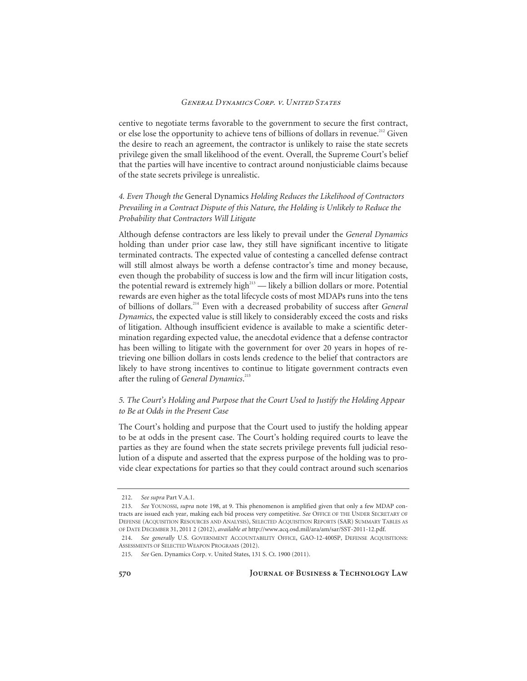centive to negotiate terms favorable to the government to secure the first contract, or else lose the opportunity to achieve tens of billions of dollars in revenue.<sup>212</sup> Given the desire to reach an agreement, the contractor is unlikely to raise the state secrets privilege given the small likelihood of the event. Overall, the Supreme Court's belief that the parties will have incentive to contract around nonjusticiable claims because of the state secrets privilege is unrealistic.

# *4. Even Though the* General Dynamics *Holding Reduces the Likelihood of Contractors Prevailing in a Contract Dispute of this Nature, the Holding is Unlikely to Reduce the Probability that Contractors Will Litigate*

Although defense contractors are less likely to prevail under the *General Dynamics* holding than under prior case law, they still have significant incentive to litigate terminated contracts. The expected value of contesting a cancelled defense contract will still almost always be worth a defense contractor's time and money because, even though the probability of success is low and the firm will incur litigation costs, the potential reward is extremely high<sup>213</sup> — likely a billion dollars or more. Potential rewards are even higher as the total lifecycle costs of most MDAPs runs into the tens of billions of dollars.214 Even with a decreased probability of success after *General Dynamics*, the expected value is still likely to considerably exceed the costs and risks of litigation. Although insufficient evidence is available to make a scientific determination regarding expected value, the anecdotal evidence that a defense contractor has been willing to litigate with the government for over 20 years in hopes of retrieving one billion dollars in costs lends credence to the belief that contractors are likely to have strong incentives to continue to litigate government contracts even after the ruling of *General Dynamics*. 215

## *5. The Court's Holding and Purpose that the Court Used to Justify the Holding Appear to Be at Odds in the Present Case*

The Court's holding and purpose that the Court used to justify the holding appear to be at odds in the present case. The Court's holding required courts to leave the parties as they are found when the state secrets privilege prevents full judicial resolution of a dispute and asserted that the express purpose of the holding was to provide clear expectations for parties so that they could contract around such scenarios

<sup>212.</sup> *See supra* Part V.A.1.

<sup>213.</sup> *See* YOUNOSSI, *supra* note 198, at 9. This phenomenon is amplified given that only a few MDAP contracts are issued each year, making each bid process very competitive. *See* OFFICE OF THE UNDER SECRETARY OF DEFENSE (ACQUISITION RESOURCES AND ANALYSIS), SELECTED ACQUISITION REPORTS (SAR) SUMMARY TABLES AS OF DATE DECEMBER 31, 2011 2 (2012), *available at* http://www.acq.osd.mil/ara/am/sar/SST-2011-12.pdf.

<sup>214.</sup> *See generally* U.S. GOVERNMENT ACCOUNTABILITY OFFICE, GAO-12-400SP, DEFENSE ACQUISITIONS: ASSESSMENTS OF SELECTED WEAPON PROGRAMS (2012).

<sup>215.</sup> *See* Gen. Dynamics Corp. v. United States, 131 S. Ct. 1900 (2011).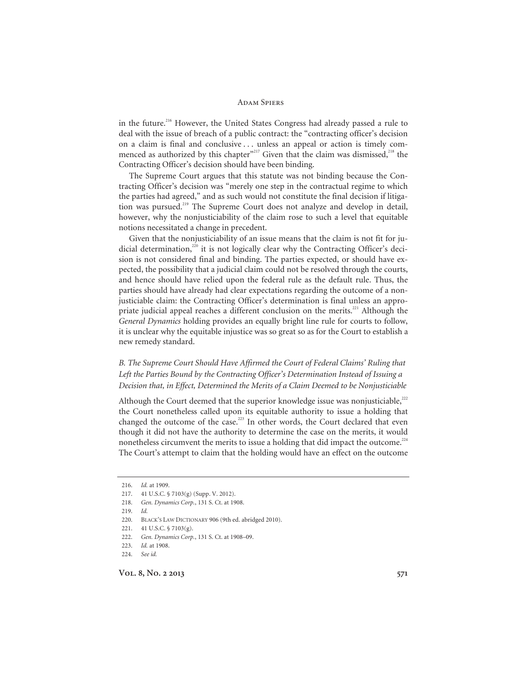in the future.<sup>216</sup> However, the United States Congress had already passed a rule to deal with the issue of breach of a public contract: the "contracting officer's decision on a claim is final and conclusive . . . unless an appeal or action is timely commenced as authorized by this chapter"<sup>217</sup> Given that the claim was dismissed,<sup>218</sup> the Contracting Officer's decision should have been binding.

The Supreme Court argues that this statute was not binding because the Contracting Officer's decision was "merely one step in the contractual regime to which the parties had agreed," and as such would not constitute the final decision if litigation was pursued.<sup>219</sup> The Supreme Court does not analyze and develop in detail, however, why the nonjusticiability of the claim rose to such a level that equitable notions necessitated a change in precedent.

Given that the nonjusticiability of an issue means that the claim is not fit for judicial determination, $^{220}$  it is not logically clear why the Contracting Officer's decision is not considered final and binding. The parties expected, or should have expected, the possibility that a judicial claim could not be resolved through the courts, and hence should have relied upon the federal rule as the default rule. Thus, the parties should have already had clear expectations regarding the outcome of a nonjusticiable claim: the Contracting Officer's determination is final unless an appropriate judicial appeal reaches a different conclusion on the merits.<sup>221</sup> Although the *General Dynamics* holding provides an equally bright line rule for courts to follow, it is unclear why the equitable injustice was so great so as for the Court to establish a new remedy standard.

# *B. The Supreme Court Should Have Affirmed the Court of Federal Claims' Ruling that Left the Parties Bound by the Contracting Officer's Determination Instead of Issuing a Decision that, in Effect, Determined the Merits of a Claim Deemed to be Nonjusticiable*

Although the Court deemed that the superior knowledge issue was nonjusticiable,<sup>222</sup> the Court nonetheless called upon its equitable authority to issue a holding that changed the outcome of the case.<sup>223</sup> In other words, the Court declared that even though it did not have the authority to determine the case on the merits, it would nonetheless circumvent the merits to issue a holding that did impact the outcome.<sup>224</sup> The Court's attempt to claim that the holding would have an effect on the outcome

<sup>216.</sup> *Id.* at 1909.

 <sup>217. 41</sup> U.S.C. § 7103(g) (Supp. V. 2012).

<sup>218.</sup> *Gen. Dynamics Corp.*, 131 S. Ct. at 1908.

<sup>219.</sup> *Id.*

 <sup>220.</sup> BLACK'S LAW DICTIONARY 906 (9th ed. abridged 2010).

 <sup>221. 41</sup> U.S.C. § 7103(g).

<sup>222.</sup> *Gen. Dynamics Corp.*, 131 S. Ct. at 1908–09.

<sup>223.</sup> *Id.* at 1908.

<sup>224.</sup> *See id.*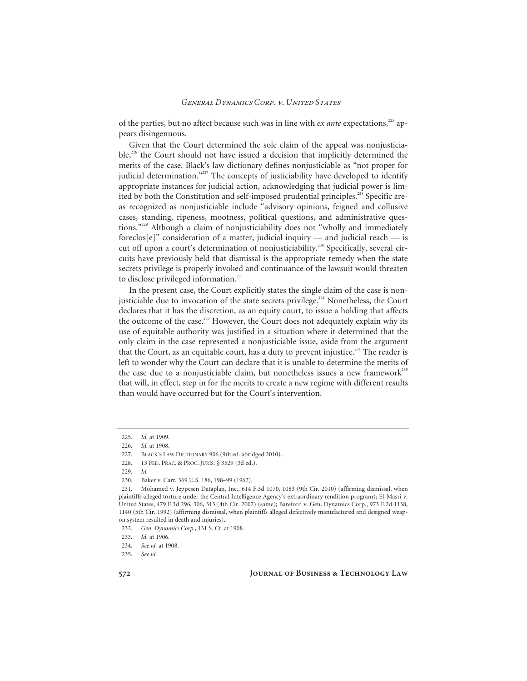of the parties, but no affect because such was in line with *ex ante* expectations,<sup>225</sup> appears disingenuous.

Given that the Court determined the sole claim of the appeal was nonjusticia $ble<sub>1</sub><sup>226</sup>$  the Court should not have issued a decision that implicitly determined the merits of the case. Black's law dictionary defines nonjusticiable as "not proper for judicial determination."<sup>227</sup> The concepts of justiciability have developed to identify appropriate instances for judicial action, acknowledging that judicial power is limited by both the Constitution and self-imposed prudential principles.<sup>228</sup> Specific areas recognized as nonjusticiable include "advisory opinions, feigned and collusive cases, standing, ripeness, mootness, political questions, and administrative questions."229 Although a claim of nonjusticiability does not "wholly and immediately foreclos[e]" consideration of a matter, judicial inquiry — and judicial reach — is cut off upon a court's determination of nonjusticiability.<sup>230</sup> Specifically, several circuits have previously held that dismissal is the appropriate remedy when the state secrets privilege is properly invoked and continuance of the lawsuit would threaten to disclose privileged information.<sup>231</sup>

In the present case, the Court explicitly states the single claim of the case is nonjusticiable due to invocation of the state secrets privilege.<sup>232</sup> Nonetheless, the Court declares that it has the discretion, as an equity court, to issue a holding that affects the outcome of the case.<sup>233</sup> However, the Court does not adequately explain why its use of equitable authority was justified in a situation where it determined that the only claim in the case represented a nonjusticiable issue, aside from the argument that the Court, as an equitable court, has a duty to prevent injustice.<sup>234</sup> The reader is left to wonder why the Court can declare that it is unable to determine the merits of the case due to a nonjusticiable claim, but nonetheless issues a new framework<sup>235</sup> that will, in effect, step in for the merits to create a new regime with different results than would have occurred but for the Court's intervention.

<sup>225.</sup> *Id.* at 1909.

<sup>226.</sup> *Id.* at 1908.

BLACK'S LAW DICTIONARY 906 (9th ed. abridged 2010).

 <sup>228. 13</sup> FED. PRAC. & PROC. JURIS. § 3529 (3d ed.).

<sup>229.</sup> *Id.*

 <sup>230.</sup> Baker v. Carr, 369 U.S. 186, 198–99 (1962).

 <sup>231.</sup> Mohamed v. Jeppesen Dataplan, Inc., 614 F.3d 1070, 1083 (9th Cir. 2010) (affirming dismissal, when plaintiffs alleged torture under the Central Intelligence Agency's extraordinary rendition program); El-Masri v. United States, 479 F.3d 296, 306, 313 (4th Cir. 2007) (same); Bareford v. Gen. Dynamics Corp., 973 F.2d 1138, 1140 (5th Cir. 1992) (affirming dismissal, when plaintiffs alleged defectively manufactured and designed weapon system resulted in death and injuries).

<sup>232.</sup> *Gen. Dynamics Corp.*, 131 S. Ct. at 1908.

<sup>233.</sup> *Id.* at 1906.

<sup>234.</sup> *See id.* at 1908.

<sup>235.</sup> *See id.*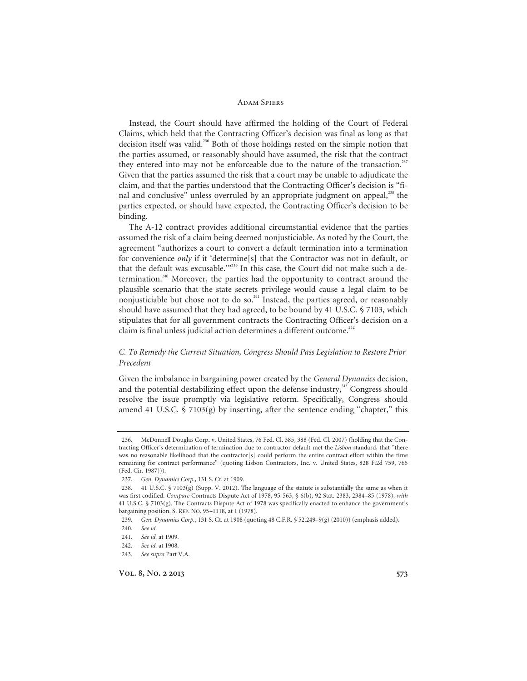Instead, the Court should have affirmed the holding of the Court of Federal Claims, which held that the Contracting Officer's decision was final as long as that decision itself was valid.<sup>236</sup> Both of those holdings rested on the simple notion that the parties assumed, or reasonably should have assumed, the risk that the contract they entered into may not be enforceable due to the nature of the transaction.<sup>237</sup> Given that the parties assumed the risk that a court may be unable to adjudicate the claim, and that the parties understood that the Contracting Officer's decision is "final and conclusive" unless overruled by an appropriate judgment on appeal,<sup>238</sup> the parties expected, or should have expected, the Contracting Officer's decision to be binding.

The A-12 contract provides additional circumstantial evidence that the parties assumed the risk of a claim being deemed nonjusticiable. As noted by the Court, the agreement "authorizes a court to convert a default termination into a termination for convenience *only* if it 'determine[s] that the Contractor was not in default, or that the default was excusable.'<sup>"239</sup> In this case, the Court did not make such a determination.<sup>240</sup> Moreover, the parties had the opportunity to contract around the plausible scenario that the state secrets privilege would cause a legal claim to be nonjusticiable but chose not to do so.<sup>241</sup> Instead, the parties agreed, or reasonably should have assumed that they had agreed, to be bound by 41 U.S.C. § 7103, which stipulates that for all government contracts the Contracting Officer's decision on a claim is final unless judicial action determines a different outcome.<sup>242</sup>

## *C. To Remedy the Current Situation, Congress Should Pass Legislation to Restore Prior Precedent*

Given the imbalance in bargaining power created by the *General Dynamics* decision, and the potential destabilizing effect upon the defense industry, $243$  Congress should resolve the issue promptly via legislative reform. Specifically, Congress should amend 41 U.S.C.  $\frac{1}{2}$  7103(g) by inserting, after the sentence ending "chapter," this

 <sup>236.</sup> McDonnell Douglas Corp. v. United States, 76 Fed. Cl. 385, 388 (Fed. Cl. 2007) (holding that the Contracting Officer's determination of termination due to contractor default met the *Lisbon* standard, that "there was no reasonable likelihood that the contractor[s] could perform the entire contract effort within the time remaining for contract performance" (quoting Lisbon Contractors, Inc. v. United States, 828 F.2d 759, 765 (Fed. Cir. 1987))).

<sup>237.</sup> *Gen. Dynamics Corp.*, 131 S. Ct. at 1909.

 <sup>238. 41</sup> U.S.C. § 7103(g) (Supp. V. 2012). The language of the statute is substantially the same as when it was first codified. *Compare* Contracts Dispute Act of 1978, 95-563, § 6(b), 92 Stat. 2383, 2384--85 (1978), *with*  41 U.S.C. § 7103(g). The Contracts Dispute Act of 1978 was specifically enacted to enhance the government's bargaining position. S. REP. NO. 95-1118, at 1 (1978).

<sup>239.</sup> *Gen. Dynamics Corp.*, 131 S. Ct. at 1908 (quoting 48 C.F.R. § 52.249–9(g) (2010)) (emphasis added).

<sup>240.</sup> *See id.* 

<sup>241.</sup> *See id.* at 1909.

<sup>242.</sup> *See id.* at 1908.

<sup>243.</sup> *See supra* Part V.A.